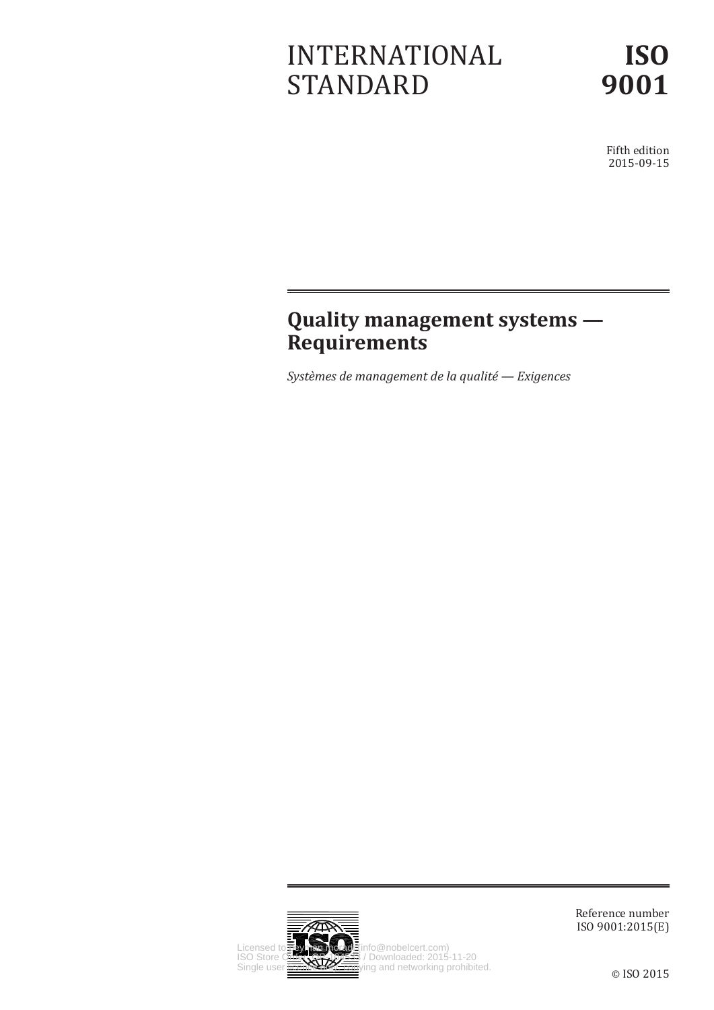# INTERNATIONAL STANDARD

Fifth edition 2015-09-15

## **Quality management systems — Requirements**

*Systèmes de management de la qualité — Exigences*



ISO Store Citence of The USE 2015-11-20<br>Single user licence of Citence only, complement of the USE 3015-11-20

Reference number ISO 9001:2015(E)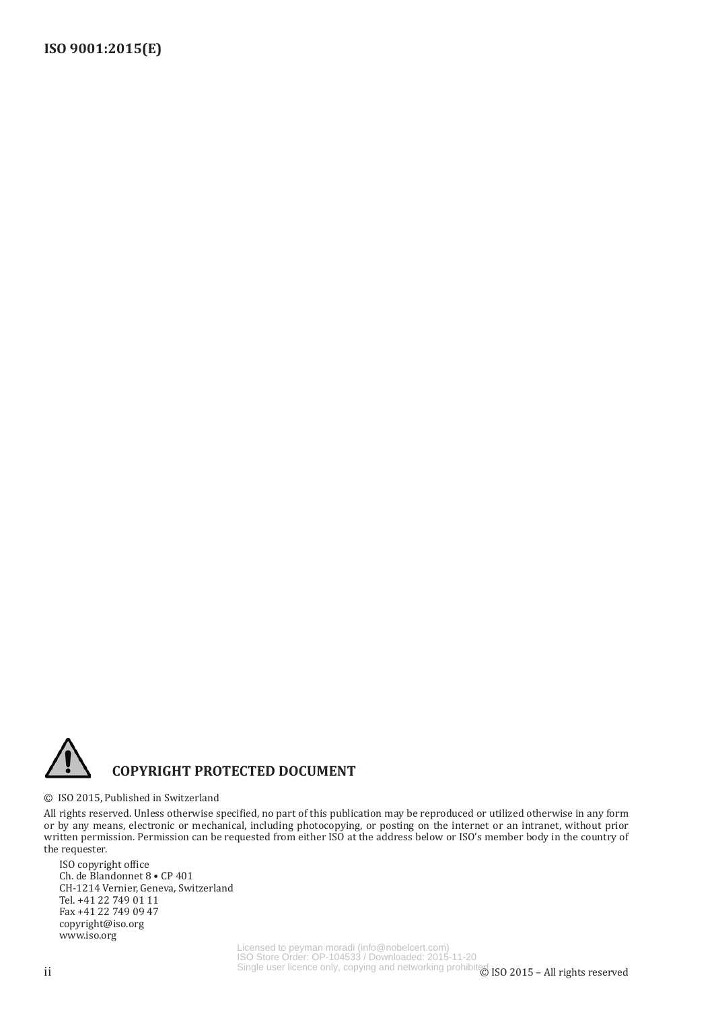

#### © ISO 2015, Published in Switzerland

All rights reserved. Unless otherwise specified, no part of this publication may be reproduced or utilized otherwise in any form or by any means, electronic or mechanical, including photocopying, or posting on the internet or an intranet, without prior written permission. Permission can be requested from either ISO at the address below or ISO's member body in the country of the requester.

ISO copyright office Ch. de Blandonnet 8 • CP 401 CH-1214 Vernier, Geneva, Switzerland Tel. +41 22 749 01 11 Fax +41 22 749 09 47 copyright@iso.org www.iso.org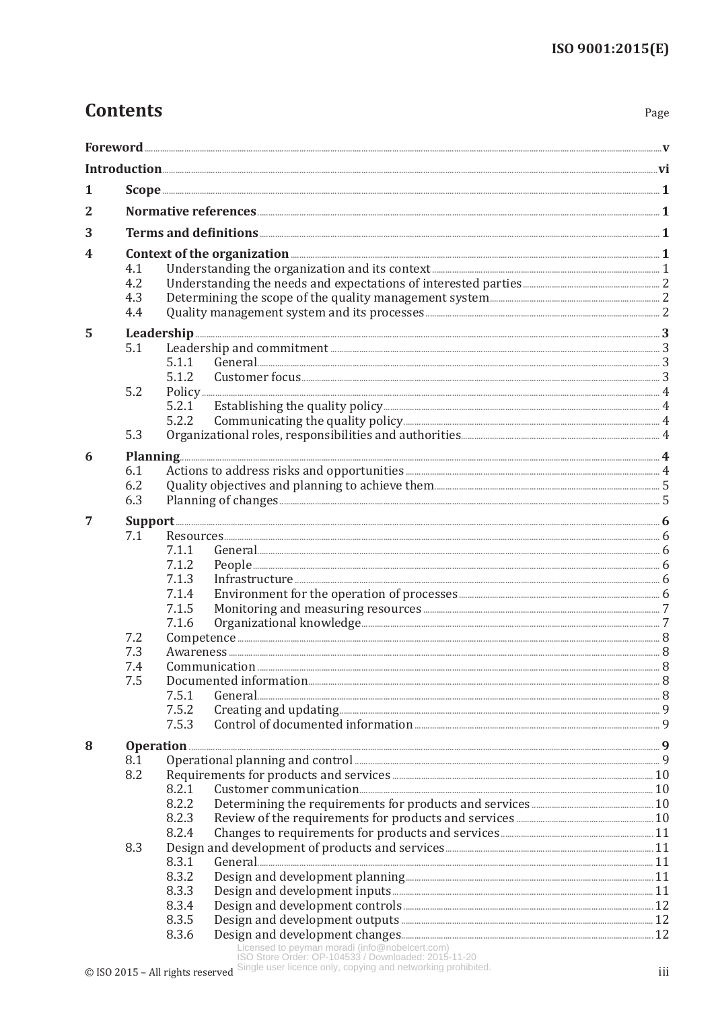## **Contents**

Page

| 1 |                          |                                                                                                                                                                                                                                                                                                                                                        |  |  |  |  |  |  |  |  |
|---|--------------------------|--------------------------------------------------------------------------------------------------------------------------------------------------------------------------------------------------------------------------------------------------------------------------------------------------------------------------------------------------------|--|--|--|--|--|--|--|--|
| 2 |                          |                                                                                                                                                                                                                                                                                                                                                        |  |  |  |  |  |  |  |  |
|   |                          |                                                                                                                                                                                                                                                                                                                                                        |  |  |  |  |  |  |  |  |
| 3 |                          |                                                                                                                                                                                                                                                                                                                                                        |  |  |  |  |  |  |  |  |
| 4 | 4.1<br>4.2<br>4.3<br>4.4 | Context of the organization <b>Executive Context</b> of the organization <b>and the set of the organization</b><br>Understanding the organization and its context <b>Manufaction</b> and its and the state of the state of the state of the state of the state of the state of the state of the state of the state of the state of the state of the st |  |  |  |  |  |  |  |  |
| 5 |                          |                                                                                                                                                                                                                                                                                                                                                        |  |  |  |  |  |  |  |  |
|   | 5.1<br>5.2               | General 333<br>5.1.1<br>5.1.2<br>5.2.2                                                                                                                                                                                                                                                                                                                 |  |  |  |  |  |  |  |  |
|   | 5.3                      |                                                                                                                                                                                                                                                                                                                                                        |  |  |  |  |  |  |  |  |
| 6 | 6.1<br>6.2<br>6.3        |                                                                                                                                                                                                                                                                                                                                                        |  |  |  |  |  |  |  |  |
| 7 |                          |                                                                                                                                                                                                                                                                                                                                                        |  |  |  |  |  |  |  |  |
|   | 7.1                      | 7.1.1<br>7.1.2<br>7.1.3<br>7.1.4<br>7.1.5<br>7.1.6                                                                                                                                                                                                                                                                                                     |  |  |  |  |  |  |  |  |
|   | 7.2                      | $Complete ac 1 2 1 3 2 4 5 6 6 7 8 8 9 1 1 1 1 1 1 1 1 1 1 1 1 1 1 1 1 1$                                                                                                                                                                                                                                                                              |  |  |  |  |  |  |  |  |
|   | 7.3<br>7.4<br>7.5        | ${\bf Communication 3}$<br>7.5.1<br>7.5.2<br>7.5.3<br>Control of documented information <b>matter and the control of documented</b> information <b>9</b>                                                                                                                                                                                               |  |  |  |  |  |  |  |  |
| 8 |                          |                                                                                                                                                                                                                                                                                                                                                        |  |  |  |  |  |  |  |  |
|   | 8.1<br>8.2               | Requirements for products and services <b>CONSCRUTE 2018</b> 10<br>8.2.1<br>8.2.2<br>8.2.3<br>8.2.4                                                                                                                                                                                                                                                    |  |  |  |  |  |  |  |  |
|   | 8.3                      | 8.3.1<br>8.3.2<br>8.3.3<br>8.3.4<br>8.3.5<br>8.3.6<br>and to novman moradi (info@nobolcort.com)                                                                                                                                                                                                                                                        |  |  |  |  |  |  |  |  |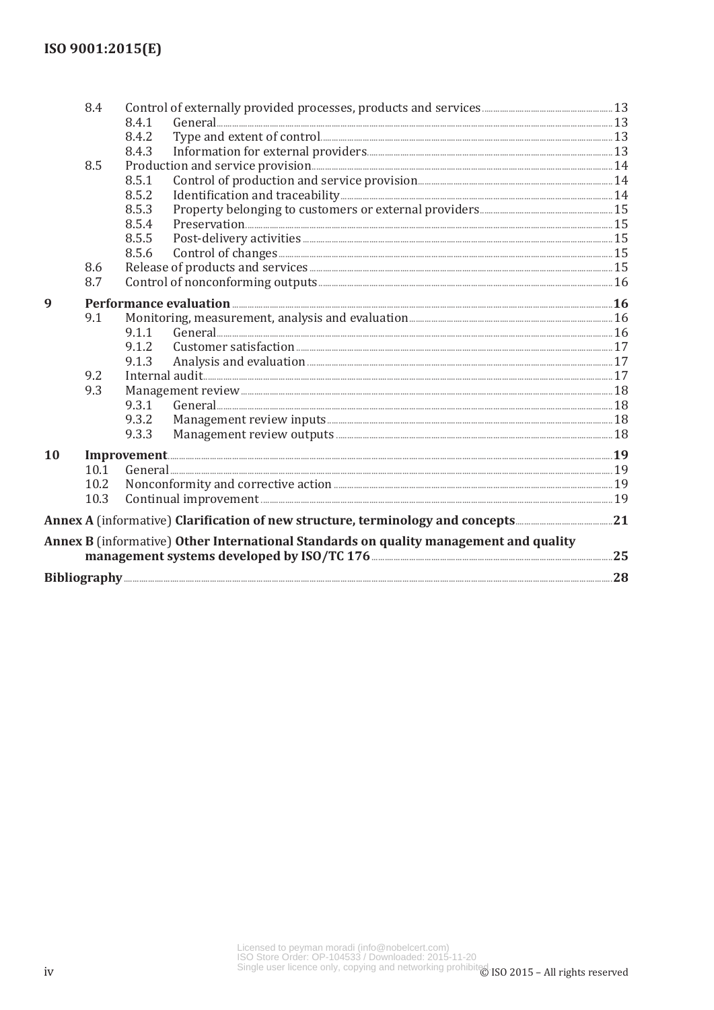## ISO 9001:2015(E)

|           | 8.4  |                                                                                                |  |
|-----------|------|------------------------------------------------------------------------------------------------|--|
|           |      | 8.4.1                                                                                          |  |
|           |      | 8.4.2                                                                                          |  |
|           |      | 8.4.3                                                                                          |  |
|           | 8.5  |                                                                                                |  |
|           |      | 8.5.1                                                                                          |  |
|           |      | 8.5.2                                                                                          |  |
|           |      | 8.5.3                                                                                          |  |
|           |      | 8.5.4                                                                                          |  |
|           |      | 8.5.5                                                                                          |  |
|           |      | 8.5.6                                                                                          |  |
|           | 8.6  |                                                                                                |  |
|           | 8.7  |                                                                                                |  |
| 9         |      |                                                                                                |  |
|           | 9.1  |                                                                                                |  |
|           |      | 9.1.1                                                                                          |  |
|           |      | 9.1.2                                                                                          |  |
|           |      | 9.1.3                                                                                          |  |
|           | 9.2  |                                                                                                |  |
|           | 9.3  |                                                                                                |  |
|           |      | 9.3.1<br>General 28 18                                                                         |  |
|           |      | 9.3.2                                                                                          |  |
|           |      | Management review outputs <b>Management</b> review outputs <b>Management</b> Table 18<br>9.3.3 |  |
| <b>10</b> |      |                                                                                                |  |
|           | 10.1 |                                                                                                |  |
|           | 10.2 |                                                                                                |  |
|           | 10.3 |                                                                                                |  |
|           |      |                                                                                                |  |
|           |      | Annex B (informative) Other International Standards on quality management and quality          |  |
|           |      |                                                                                                |  |
|           |      |                                                                                                |  |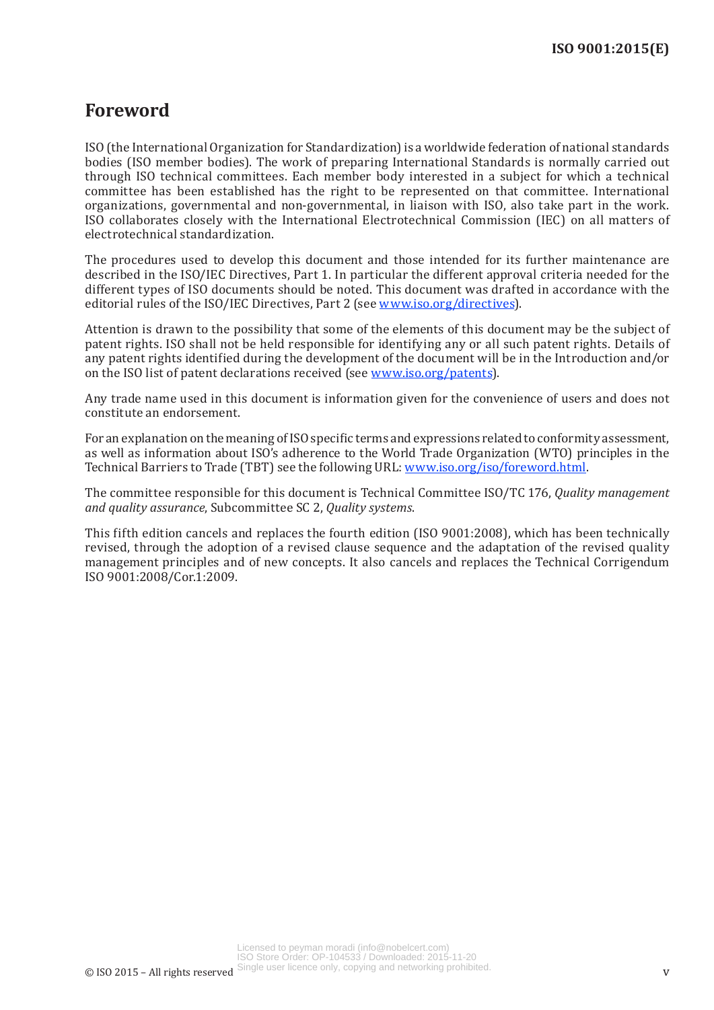## <span id="page-4-0"></span>**Foreword**

ISO (the International Organization for Standardization) is a worldwide federation of national standards bodies (ISO member bodies). The work of preparing International Standards is normally carried out through ISO technical committees. Each member body interested in a subject for which a technical committee has been established has the right to be represented on that committee. International organizations, governmental and non-governmental, in liaison with ISO, also take part in the work. ISO collaborates closely with the International Electrotechnical Commission (IEC) on all matters of electrotechnical standardization.

The procedures used to develop this document and those intended for its further maintenance are described in the ISO/IEC Directives, Part 1. In particular the different approval criteria needed for the different types of ISO documents should be noted. This document was drafted in accordance with the editorial rules of the ISO/IEC Directives, Part 2 (see [www.iso.org/directives](http://www.iso.org/directives)).

Attention is drawn to the possibility that some of the elements of this document may be the subject of patent rights. ISO shall not be held responsible for identifying any or all such patent rights. Details of any patent rights identified during the development of the document will be in the Introduction and/or on the ISO list of patent declarations received (see [www.iso.org/patents](http://www.iso.org/patents)).

Any trade name used in this document is information given for the convenience of users and does not constitute an endorsement.

For an explanation on the meaning of ISO specific terms and expressions related to conformity assessment, as well as information about ISO's adherence to the World Trade Organization (WTO) principles in the Technical Barriers to Trade (TBT) see the following URL: [www.iso.org/iso/foreword.html](http://www.iso.org/iso/foreword.html).

The committee responsible for this document is Technical Committee ISO/TC 176, *Quality management and quality assurance*, Subcommittee SC 2, *Quality systems*.

This fifth edition cancels and replaces the fourth edition (ISO 9001:2008), which has been technically revised, through the adoption of a revised clause sequence and the adaptation of the revised quality management principles and of new concepts. It also cancels and replaces the Technical Corrigendum ISO 9001:2008/Cor.1:2009.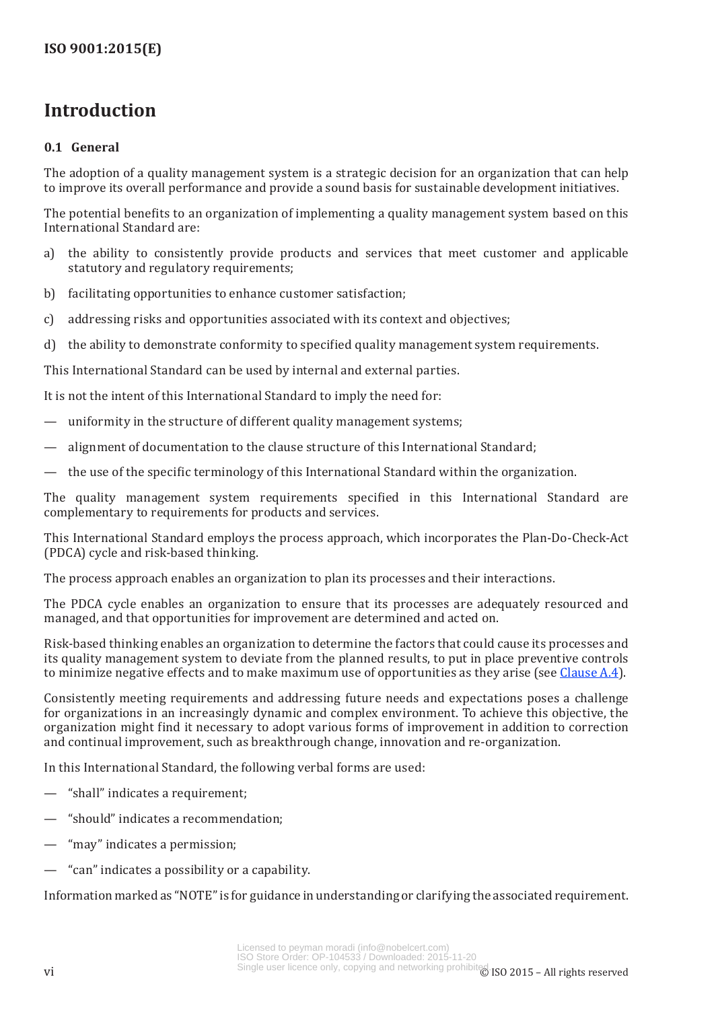## <span id="page-5-0"></span>**Introduction**

#### **0.1 General**

The adoption of a quality management system is a strategic decision for an organization that can help to improve its overall performance and provide a sound basis for sustainable development initiatives.

The potential benefits to an organization of implementing a quality management system based on this International Standard are:

- a) the ability to consistently provide products and services that meet customer and applicable statutory and regulatory requirements;
- b) facilitating opportunities to enhance customer satisfaction;
- c) addressing risks and opportunities associated with its context and objectives;
- d) the ability to demonstrate conformity to specified quality management system requirements.

This International Standard can be used by internal and external parties.

It is not the intent of this International Standard to imply the need for:

- uniformity in the structure of different quality management systems;
- alignment of documentation to the clause structure of this International Standard;
- the use of the specific terminology of this International Standard within the organization.

The quality management system requirements specified in this International Standard are complementary to requirements for products and services.

This International Standard employs the process approach, which incorporates the Plan-Do-Check-Act (PDCA) cycle and risk-based thinking.

The process approach enables an organization to plan its processes and their interactions.

The PDCA cycle enables an organization to ensure that its processes are adequately resourced and managed, and that opportunities for improvement are determined and acted on.

Risk-based thinking enables an organization to determine the factors that could cause its processes and its quality management system to deviate from the planned results, to put in place preventive controls to minimize negative effects and to make maximum use of opportunities as they arise (see [Clause](#page-31-0) A.4).

Consistently meeting requirements and addressing future needs and expectations poses a challenge for organizations in an increasingly dynamic and complex environment. To achieve this objective, the organization might find it necessary to adopt various forms of improvement in addition to correction and continual improvement, such as breakthrough change, innovation and re-organization.

In this International Standard, the following verbal forms are used:

- "shall" indicates a requirement;
- "should" indicates a recommendation;
- "may" indicates a permission;
- "can" indicates a possibility or a capability.

Information marked as "NOTE" is for guidance in understanding or clarifying the associated requirement.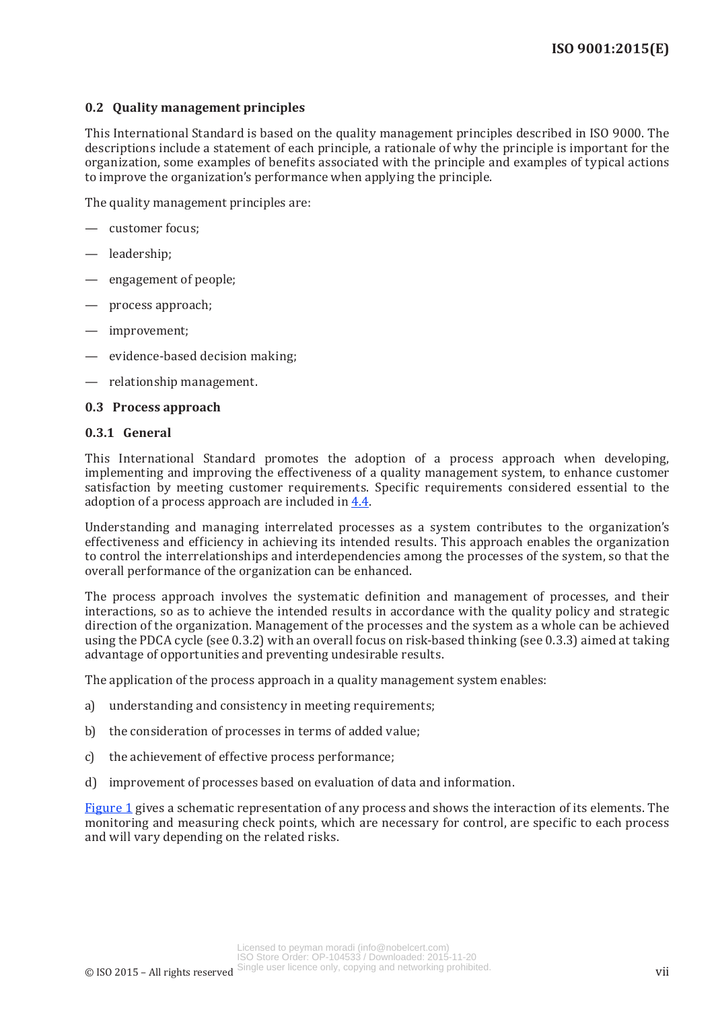#### **0.2 Quality management principles**

This International Standard is based on the quality management principles described in ISO 9000. The descriptions include a statement of each principle, a rationale of why the principle is important for the organization, some examples of benefits associated with the principle and examples of typical actions to improve the organization's performance when applying the principle.

The quality management principles are:

- customer focus;
- leadership;
- engagement of people;
- process approach;
- improvement;
- evidence-based decision making;
- relationship management.

#### **0.3 Process approach**

#### **0.3.1 General**

This International Standard promotes the adoption of a process approach when developing, implementing and improving the effectiveness of a quality management system, to enhance customer satisfaction by meeting customer requirements. Specific requirements considered essential to the adoption of a process approach are included in [4.4.](#page-11-1)

Understanding and managing interrelated processes as a system contributes to the organization's effectiveness and efficiency in achieving its intended results. This approach enables the organization to control the interrelationships and interdependencies among the processes of the system, so that the overall performance of the organization can be enhanced.

The process approach involves the systematic definition and management of processes, and their interactions, so as to achieve the intended results in accordance with the quality policy and strategic direction of the organization. Management of the processes and the system as a whole can be achieved using the PDCA cycle (see 0.3.2) with an overall focus on risk-based thinking (see 0.3.3) aimed at taking advantage of opportunities and preventing undesirable results.

The application of the process approach in a quality management system enables:

- a) understanding and consistency in meeting requirements;
- b) the consideration of processes in terms of added value;
- c) the achievement of effective process performance;
- d) improvement of processes based on evaluation of data and information.

[Figure](#page-7-0) 1 gives a schematic representation of any process and shows the interaction of its elements. The monitoring and measuring check points, which are necessary for control, are specific to each process and will vary depending on the related risks.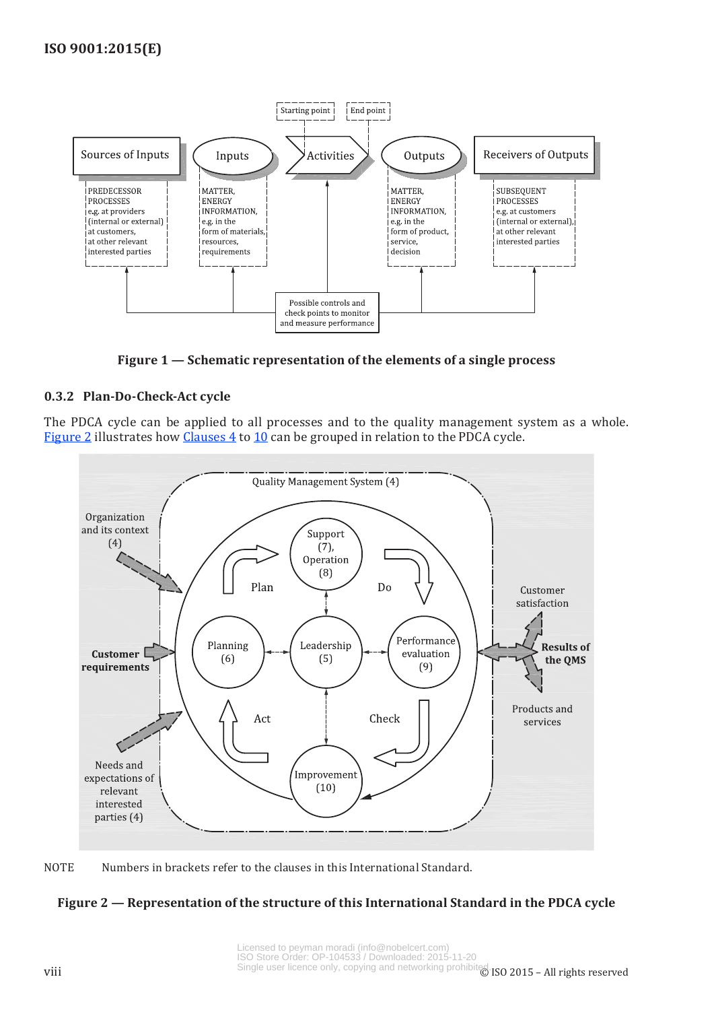

<span id="page-7-0"></span>**Figure 1 — Schematic representation of the elements of a single process**

#### **0.3.2 Plan-Do-Check-Act cycle**

The PDCA cycle can be applied to all processes and to the quality management system as a whole. [Figure](#page-7-1) 2 illustrates how [Clauses](#page-10-1) 4 to [10](#page-28-1) can be grouped in relation to the PDCA cycle.



NOTE Numbers in brackets refer to the clauses in this International Standard.

#### <span id="page-7-1"></span>**Figure 2 — Representation of the structure of this International Standard in the PDCA cycle**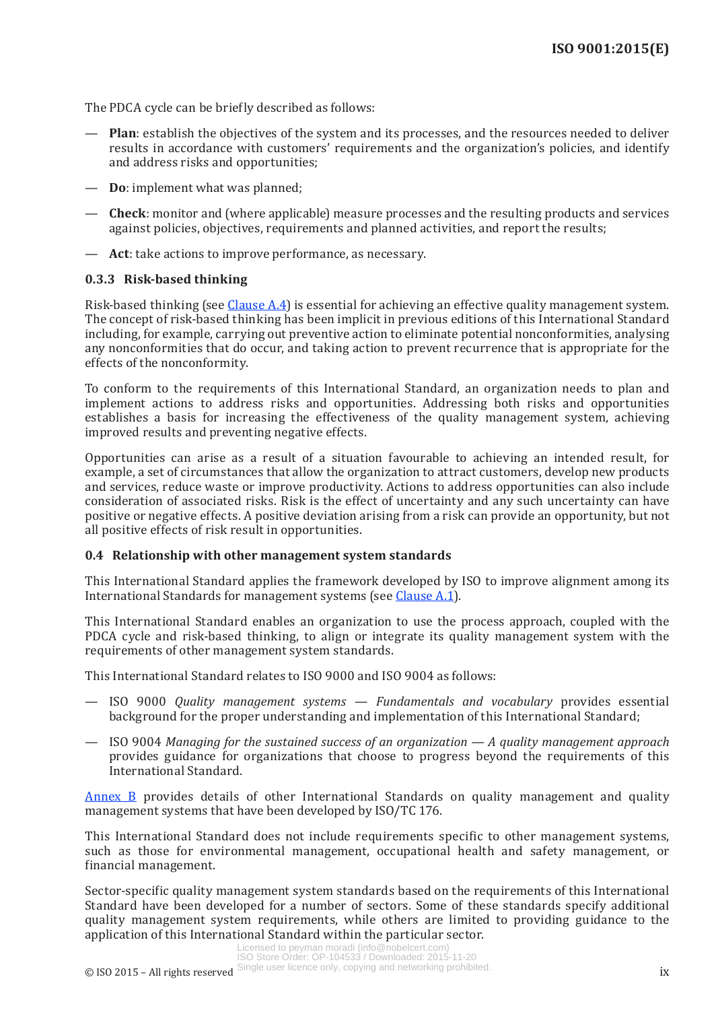The PDCA cycle can be briefly described as follows:

- **Plan**: establish the objectives of the system and its processes, and the resources needed to deliver results in accordance with customers' requirements and the organization's policies, and identify and address risks and opportunities;
- **Do**: implement what was planned;
- **Check**: monitor and (where applicable) measure processes and the resulting products and services against policies, objectives, requirements and planned activities, and report the results;
- **Act**: take actions to improve performance, as necessary.

#### **0.3.3 Risk-based thinking**

Risk-based thinking (see [Clause](#page-31-0) A.4) is essential for achieving an effective quality management system. The concept of risk-based thinking has been implicit in previous editions of this International Standard including, for example, carrying out preventive action to eliminate potential nonconformities, analysing any nonconformities that do occur, and taking action to prevent recurrence that is appropriate for the effects of the nonconformity.

To conform to the requirements of this International Standard, an organization needs to plan and implement actions to address risks and opportunities. Addressing both risks and opportunities establishes a basis for increasing the effectiveness of the quality management system, achieving improved results and preventing negative effects.

Opportunities can arise as a result of a situation favourable to achieving an intended result, for example, a set of circumstances that allow the organization to attract customers, develop new products and services, reduce waste or improve productivity. Actions to address opportunities can also include consideration of associated risks. Risk is the effect of uncertainty and any such uncertainty can have positive or negative effects. A positive deviation arising from a risk can provide an opportunity, but not all positive effects of risk result in opportunities.

#### **0.4 Relationship with other management system standards**

This International Standard applies the framework developed by ISO to improve alignment among its International Standards for management systems (see [Clause](#page-30-1) A.1).

This International Standard enables an organization to use the process approach, coupled with the PDCA cycle and risk-based thinking, to align or integrate its quality management system with the requirements of other management system standards.

This International Standard relates to ISO 9000 and ISO 9004 as follows:

- ISO 9000 *Quality management systems Fundamentals and vocabulary* provides essential background for the proper understanding and implementation of this International Standard;
- ISO 9004 *Managing for the sustained success of an organization A quality management approach* provides guidance for organizations that choose to progress beyond the requirements of this International Standard.

[Annex](#page-34-1) B provides details of other International Standards on quality management and quality management systems that have been developed by ISO/TC 176.

This International Standard does not include requirements specific to other management systems, such as those for environmental management, occupational health and safety management, or financial management.

Sector-specific quality management system standards based on the requirements of this International Standard have been developed for a number of sectors. Some of these standards specify additional quality management system requirements, while others are limited to providing guidance to the application of this International Standard within the particular sector.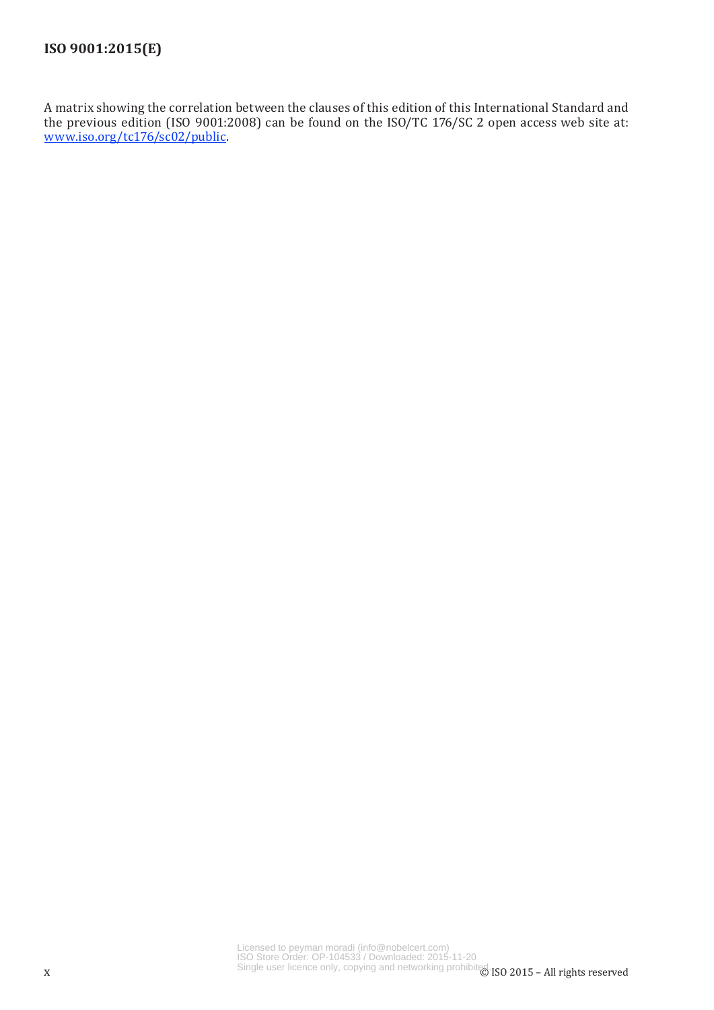A matrix showing the correlation between the clauses of this edition of this International Standard and the previous edition (ISO 9001:2008) can be found on the ISO/TC 176/SC 2 open access web site at: [www.iso.org/tc176/sc02/public.](http://www.iso.org/tc176/sc02/public)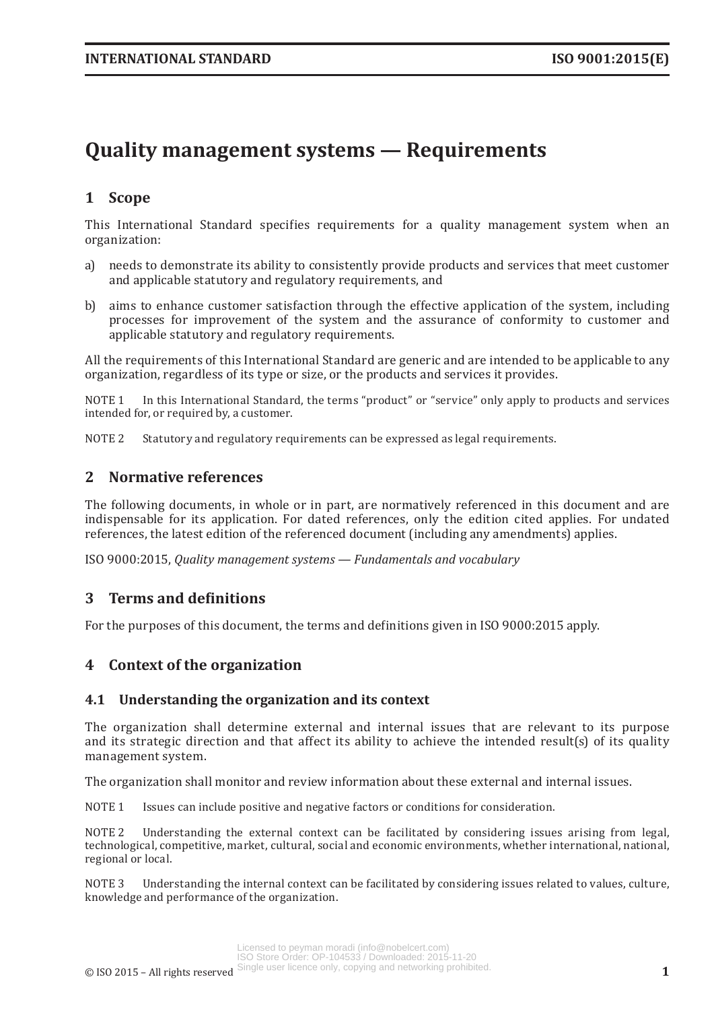## <span id="page-10-0"></span>**Quality management systems — Requirements**

## **1 Scope**

This International Standard specifies requirements for a quality management system when an organization:

- a) needs to demonstrate its ability to consistently provide products and services that meet customer and applicable statutory and regulatory requirements, and
- b) aims to enhance customer satisfaction through the effective application of the system, including processes for improvement of the system and the assurance of conformity to customer and applicable statutory and regulatory requirements.

All the requirements of this International Standard are generic and are intended to be applicable to any organization, regardless of its type or size, or the products and services it provides.

NOTE 1 In this International Standard, the terms "product" or "service" only apply to products and services intended for, or required by, a customer.

NOTE 2 Statutory and regulatory requirements can be expressed as legal requirements.

#### **2 Normative references**

The following documents, in whole or in part, are normatively referenced in this document and are indispensable for its application. For dated references, only the edition cited applies. For undated references, the latest edition of the referenced document (including any amendments) applies.

ISO 9000:2015, *Quality management systems — Fundamentals and vocabulary*

### **3 Terms and definitions**

For the purposes of this document, the terms and definitions given in ISO 9000:2015 apply.

#### <span id="page-10-1"></span>**4 Context of the organization**

#### <span id="page-10-2"></span>**4.1 Understanding the organization and its context**

The organization shall determine external and internal issues that are relevant to its purpose and its strategic direction and that affect its ability to achieve the intended result(s) of its quality management system.

The organization shall monitor and review information about these external and internal issues.

NOTE 1 Issues can include positive and negative factors or conditions for consideration.

NOTE 2 Understanding the external context can be facilitated by considering issues arising from legal, technological, competitive, market, cultural, social and economic environments, whether international, national, regional or local.

NOTE 3 Understanding the internal context can be facilitated by considering issues related to values, culture, knowledge and performance of the organization.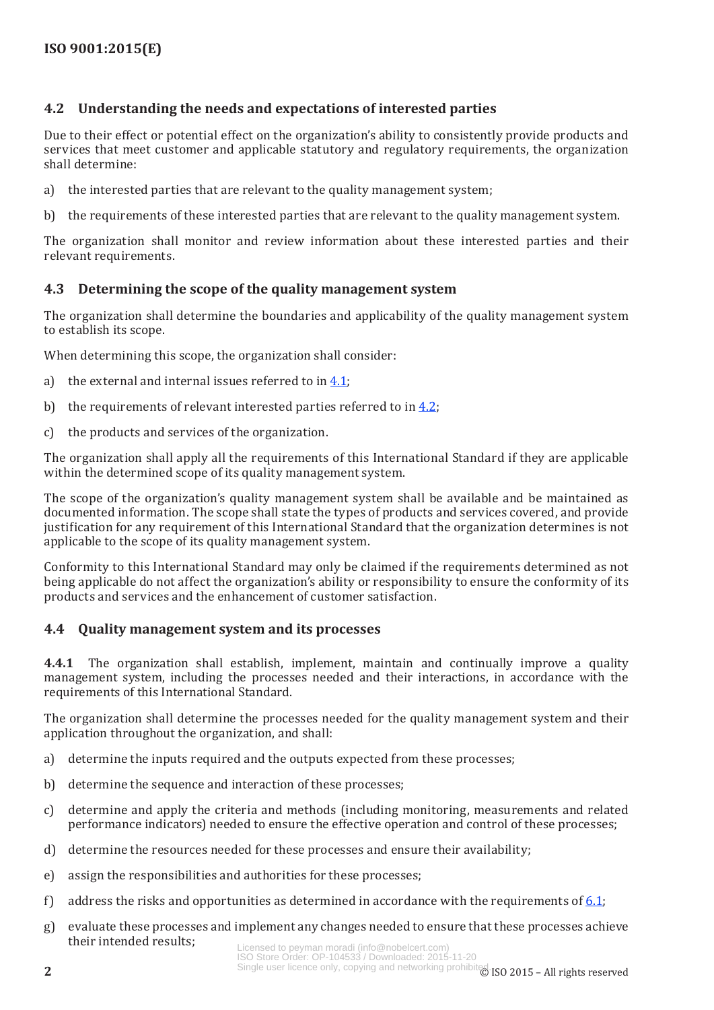### <span id="page-11-2"></span><span id="page-11-0"></span>**4.2 Understanding the needs and expectations of interested parties**

Due to their effect or potential effect on the organization's ability to consistently provide products and services that meet customer and applicable statutory and regulatory requirements, the organization shall determine:

- a) the interested parties that are relevant to the quality management system;
- b) the requirements of these interested parties that are relevant to the quality management system.

The organization shall monitor and review information about these interested parties and their relevant requirements.

#### <span id="page-11-3"></span>**4.3 Determining the scope of the quality management system**

The organization shall determine the boundaries and applicability of the quality management system to establish its scope.

When determining this scope, the organization shall consider:

- a) the external and internal issues referred to in  $4.1$ ;
- b) the requirements of relevant interested parties referred to in [4.2](#page-11-2);
- c) the products and services of the organization.

The organization shall apply all the requirements of this International Standard if they are applicable within the determined scope of its quality management system.

The scope of the organization's quality management system shall be available and be maintained as documented information. The scope shall state the types of products and services covered, and provide justification for any requirement of this International Standard that the organization determines is not applicable to the scope of its quality management system.

Conformity to this International Standard may only be claimed if the requirements determined as not being applicable do not affect the organization's ability or responsibility to ensure the conformity of its products and services and the enhancement of customer satisfaction.

#### <span id="page-11-1"></span>**4.4 Quality management system and its processes**

**4.4.1** The organization shall establish, implement, maintain and continually improve a quality management system, including the processes needed and their interactions, in accordance with the requirements of this International Standard.

The organization shall determine the processes needed for the quality management system and their application throughout the organization, and shall:

- a) determine the inputs required and the outputs expected from these processes;
- b) determine the sequence and interaction of these processes;
- c) determine and apply the criteria and methods (including monitoring, measurements and related performance indicators) needed to ensure the effective operation and control of these processes;
- d) determine the resources needed for these processes and ensure their availability;
- e) assign the responsibilities and authorities for these processes;
- f) address the risks and opportunities as determined in accordance with the requirements of  $6.1$ ;
- g) evaluate these processes and implement any changes needed to ensure that these processes achieve their intended results; Licensed to peyman moradi (info@nobelcert.com)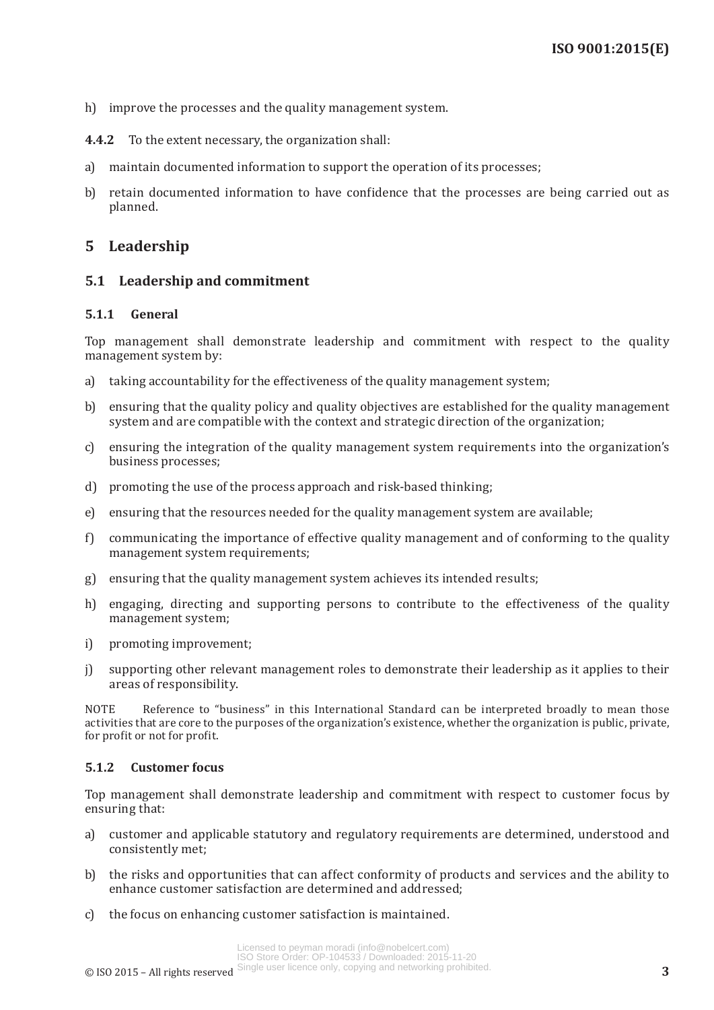- <span id="page-12-0"></span>h) improve the processes and the quality management system.
- **4.4.2** To the extent necessary, the organization shall:
- a) maintain documented information to support the operation of its processes;
- b) retain documented information to have confidence that the processes are being carried out as planned.

### **5 Leadership**

#### **5.1 Leadership and commitment**

#### **5.1.1 General**

Top management shall demonstrate leadership and commitment with respect to the quality management system by:

- a) taking accountability for the effectiveness of the quality management system;
- b) ensuring that the quality policy and quality objectives are established for the quality management system and are compatible with the context and strategic direction of the organization;
- c) ensuring the integration of the quality management system requirements into the organization's business processes;
- d) promoting the use of the process approach and risk-based thinking;
- e) ensuring that the resources needed for the quality management system are available;
- f) communicating the importance of effective quality management and of conforming to the quality management system requirements;
- g) ensuring that the quality management system achieves its intended results;
- h) engaging, directing and supporting persons to contribute to the effectiveness of the quality management system;
- i) promoting improvement;
- j) supporting other relevant management roles to demonstrate their leadership as it applies to their areas of responsibility.

NOTE Reference to "business" in this International Standard can be interpreted broadly to mean those activities that are core to the purposes of the organization's existence, whether the organization is public, private, for profit or not for profit.

#### **5.1.2 Customer focus**

Top management shall demonstrate leadership and commitment with respect to customer focus by ensuring that:

- a) customer and applicable statutory and regulatory requirements are determined, understood and consistently met;
- b) the risks and opportunities that can affect conformity of products and services and the ability to enhance customer satisfaction are determined and addressed;
- c) the focus on enhancing customer satisfaction is maintained.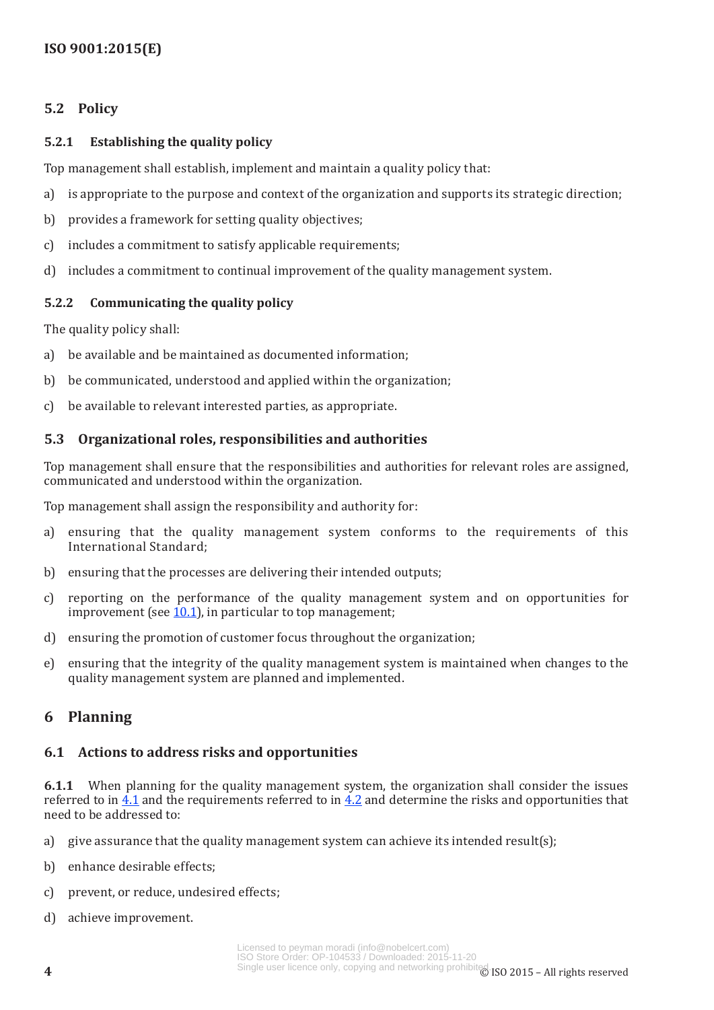### <span id="page-13-0"></span>**5.2 Policy**

#### **5.2.1 Establishing the quality policy**

Top management shall establish, implement and maintain a quality policy that:

- a) is appropriate to the purpose and context of the organization and supports its strategic direction;
- b) provides a framework for setting quality objectives;
- c) includes a commitment to satisfy applicable requirements;
- d) includes a commitment to continual improvement of the quality management system.

#### **5.2.2 Communicating the quality policy**

The quality policy shall:

- a) be available and be maintained as documented information;
- b) be communicated, understood and applied within the organization;
- c) be available to relevant interested parties, as appropriate.

#### <span id="page-13-3"></span>**5.3 Organizational roles, responsibilities and authorities**

Top management shall ensure that the responsibilities and authorities for relevant roles are assigned, communicated and understood within the organization.

Top management shall assign the responsibility and authority for:

- a) ensuring that the quality management system conforms to the requirements of this International Standard;
- b) ensuring that the processes are delivering their intended outputs;
- c) reporting on the performance of the quality management system and on opportunities for improvement (see  $10.1$ ), in particular to top management;
- d) ensuring the promotion of customer focus throughout the organization;
- e) ensuring that the integrity of the quality management system is maintained when changes to the quality management system are planned and implemented.

### <span id="page-13-2"></span>**6 Planning**

#### <span id="page-13-1"></span>**6.1 Actions to address risks and opportunities**

**6.1.1** When planning for the quality management system, the organization shall consider the issues referred to in [4.1](#page-10-2) and the requirements referred to in [4.2](#page-11-2) and determine the risks and opportunities that need to be addressed to:

- a) give assurance that the quality management system can achieve its intended result(s);
- b) enhance desirable effects;
- c) prevent, or reduce, undesired effects;
- d) achieve improvement.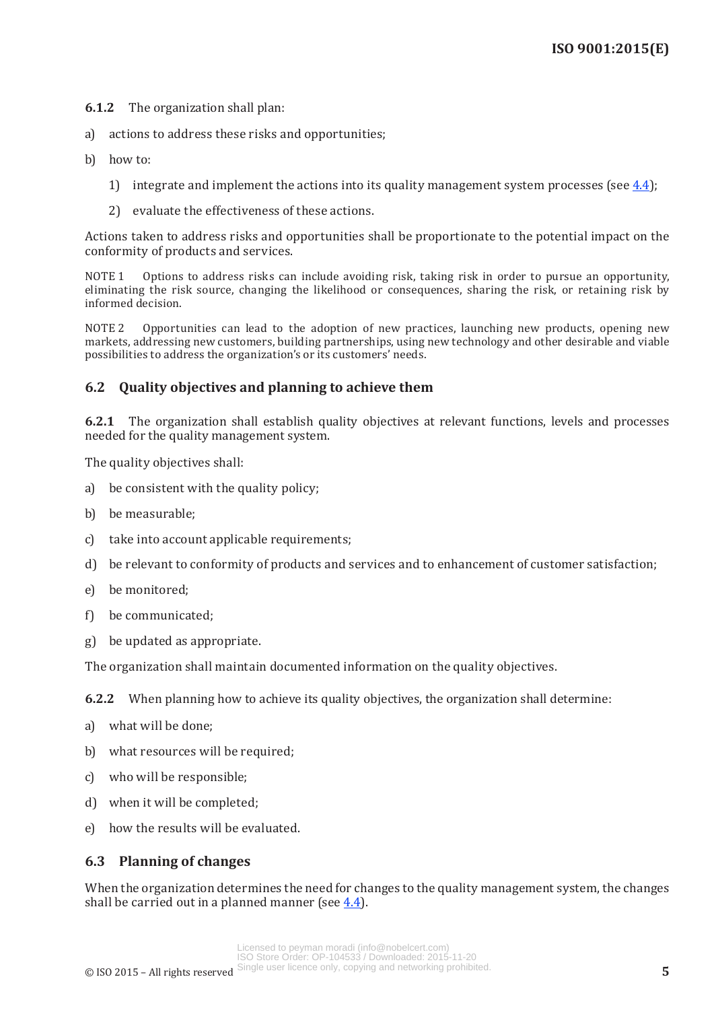<span id="page-14-0"></span>**6.1.2** The organization shall plan:

- a) actions to address these risks and opportunities;
- b) how to:
	- 1) integrate and implement the actions into its quality management system processes (see  $4.4$ );
	- 2) evaluate the effectiveness of these actions.

Actions taken to address risks and opportunities shall be proportionate to the potential impact on the conformity of products and services.

NOTE 1 Options to address risks can include avoiding risk, taking risk in order to pursue an opportunity, eliminating the risk source, changing the likelihood or consequences, sharing the risk, or retaining risk by informed decision.

NOTE 2 Opportunities can lead to the adoption of new practices, launching new products, opening new markets, addressing new customers, building partnerships, using new technology and other desirable and viable possibilities to address the organization's or its customers' needs.

#### <span id="page-14-1"></span>**6.2 Quality objectives and planning to achieve them**

**6.2.1** The organization shall establish quality objectives at relevant functions, levels and processes needed for the quality management system.

The quality objectives shall:

- a) be consistent with the quality policy;
- b) be measurable;
- c) take into account applicable requirements;
- d) be relevant to conformity of products and services and to enhancement of customer satisfaction;
- e) be monitored;
- f) be communicated;
- g) be updated as appropriate.

The organization shall maintain documented information on the quality objectives.

**6.2.2** When planning how to achieve its quality objectives, the organization shall determine:

- a) what will be done;
- b) what resources will be required;
- c) who will be responsible;
- d) when it will be completed;
- e) how the results will be evaluated.

#### **6.3 Planning of changes**

When the organization determines the need for changes to the quality management system, the changes shall be carried out in a planned manner (see [4.4\)](#page-11-1).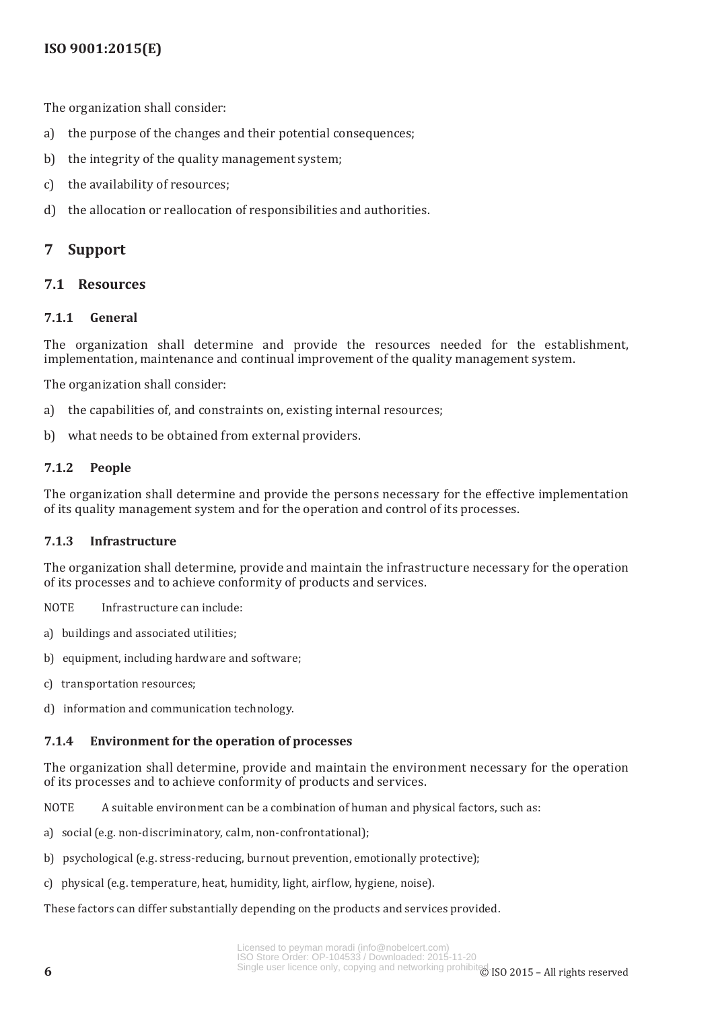## <span id="page-15-0"></span>**ISO 9001:2015(E)**

The organization shall consider:

- a) the purpose of the changes and their potential consequences;
- b) the integrity of the quality management system;
- c) the availability of resources;
- d) the allocation or reallocation of responsibilities and authorities.

#### **7 Support**

#### **7.1 Resources**

#### **7.1.1 General**

The organization shall determine and provide the resources needed for the establishment, implementation, maintenance and continual improvement of the quality management system.

The organization shall consider:

- a) the capabilities of, and constraints on, existing internal resources;
- b) what needs to be obtained from external providers.

#### **7.1.2 People**

The organization shall determine and provide the persons necessary for the effective implementation of its quality management system and for the operation and control of its processes.

#### **7.1.3 Infrastructure**

The organization shall determine, provide and maintain the infrastructure necessary for the operation of its processes and to achieve conformity of products and services.

- NOTE Infrastructure can include:
- a) buildings and associated utilities;
- b) equipment, including hardware and software;
- c) transportation resources;
- d) information and communication technology.

#### **7.1.4 Environment for the operation of processes**

The organization shall determine, provide and maintain the environment necessary for the operation of its processes and to achieve conformity of products and services.

NOTE A suitable environment can be a combination of human and physical factors, such as:

- a) social (e.g. non-discriminatory, calm, non-confrontational);
- b) psychological (e.g. stress-reducing, burnout prevention, emotionally protective);
- c) physical (e.g. temperature, heat, humidity, light, airflow, hygiene, noise).

These factors can differ substantially depending on the products and services provided.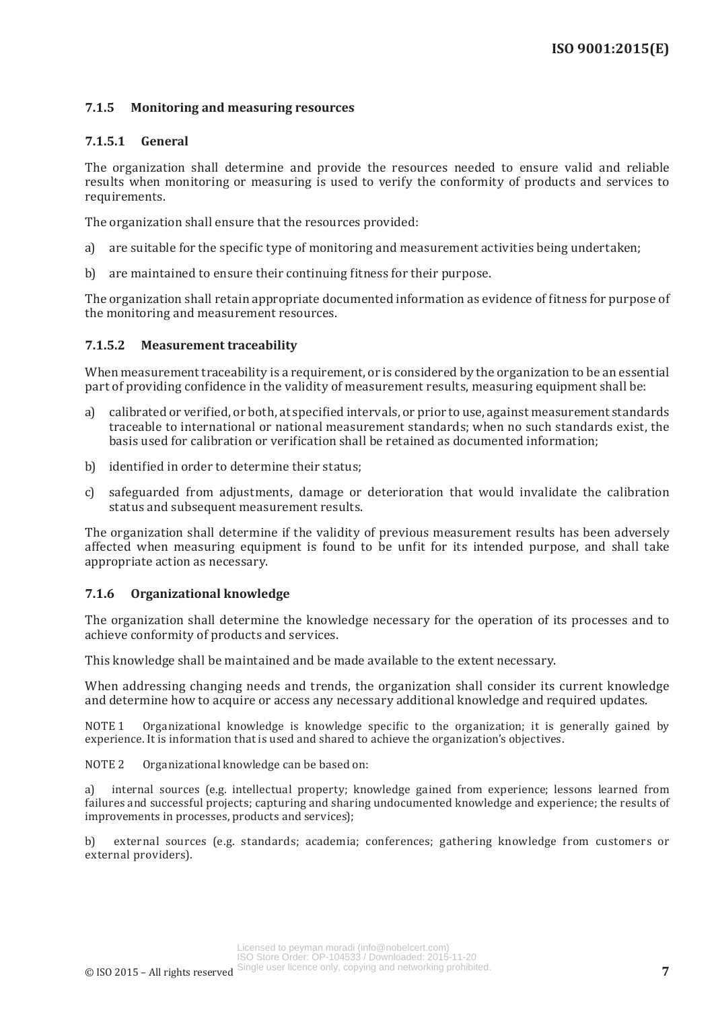#### <span id="page-16-2"></span><span id="page-16-0"></span>**7.1.5 Monitoring and measuring resources**

#### **7.1.5.1 General**

The organization shall determine and provide the resources needed to ensure valid and reliable results when monitoring or measuring is used to verify the conformity of products and services to requirements.

The organization shall ensure that the resources provided:

- a) are suitable for the specific type of monitoring and measurement activities being undertaken;
- b) are maintained to ensure their continuing fitness for their purpose.

The organization shall retain appropriate documented information as evidence of fitness for purpose of the monitoring and measurement resources.

#### **7.1.5.2 Measurement traceability**

When measurement traceability is a requirement, or is considered by the organization to be an essential part of providing confidence in the validity of measurement results, measuring equipment shall be:

- a) calibrated or verified, or both, at specified intervals, or prior to use, against measurement standards traceable to international or national measurement standards; when no such standards exist, the basis used for calibration or verification shall be retained as documented information;
- b) identified in order to determine their status;
- c) safeguarded from adjustments, damage or deterioration that would invalidate the calibration status and subsequent measurement results.

The organization shall determine if the validity of previous measurement results has been adversely affected when measuring equipment is found to be unfit for its intended purpose, and shall take appropriate action as necessary.

#### <span id="page-16-1"></span>**7.1.6 Organizational knowledge**

The organization shall determine the knowledge necessary for the operation of its processes and to achieve conformity of products and services.

This knowledge shall be maintained and be made available to the extent necessary.

When addressing changing needs and trends, the organization shall consider its current knowledge and determine how to acquire or access any necessary additional knowledge and required updates.

NOTE 1 Organizational knowledge is knowledge specific to the organization; it is generally gained by experience. It is information that is used and shared to achieve the organization's objectives.

NOTE 2 Organizational knowledge can be based on:

a) internal sources (e.g. intellectual property; knowledge gained from experience; lessons learned from failures and successful projects; capturing and sharing undocumented knowledge and experience; the results of improvements in processes, products and services);

b) external sources (e.g. standards; academia; conferences; gathering knowledge from customers or external providers).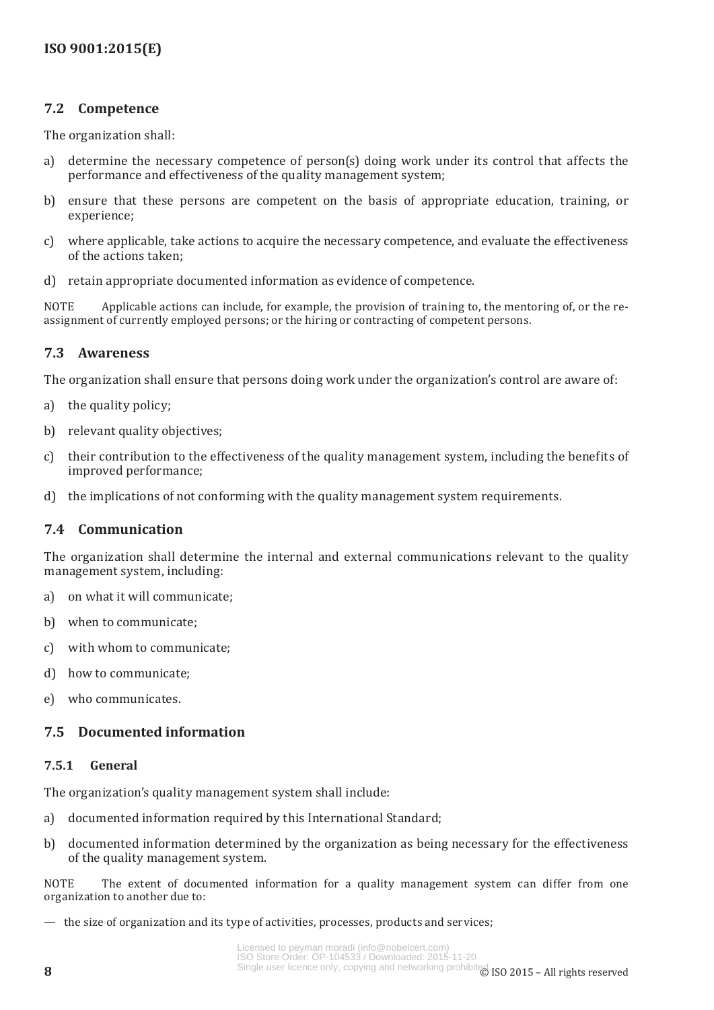#### <span id="page-17-2"></span><span id="page-17-0"></span>**7.2 Competence**

The organization shall:

- a) determine the necessary competence of person(s) doing work under its control that affects the performance and effectiveness of the quality management system;
- b) ensure that these persons are competent on the basis of appropriate education, training, or experience;
- c) where applicable, take actions to acquire the necessary competence, and evaluate the effectiveness of the actions taken;
- d) retain appropriate documented information as evidence of competence.

NOTE Applicable actions can include, for example, the provision of training to, the mentoring of, or the reassignment of currently employed persons; or the hiring or contracting of competent persons.

#### **7.3 Awareness**

The organization shall ensure that persons doing work under the organization's control are aware of:

- a) the quality policy;
- b) relevant quality objectives;
- c) their contribution to the effectiveness of the quality management system, including the benefits of improved performance;
- d) the implications of not conforming with the quality management system requirements.

#### **7.4 Communication**

The organization shall determine the internal and external communications relevant to the quality management system, including:

- a) on what it will communicate;
- b) when to communicate;
- c) with whom to communicate;
- d) how to communicate;
- e) who communicates.

#### <span id="page-17-1"></span>**7.5 Documented information**

#### **7.5.1 General**

The organization's quality management system shall include:

- a) documented information required by this International Standard;
- b) documented information determined by the organization as being necessary for the effectiveness of the quality management system.

NOTE The extent of documented information for a quality management system can differ from one organization to another due to:

— the size of organization and its type of activities, processes, products and services;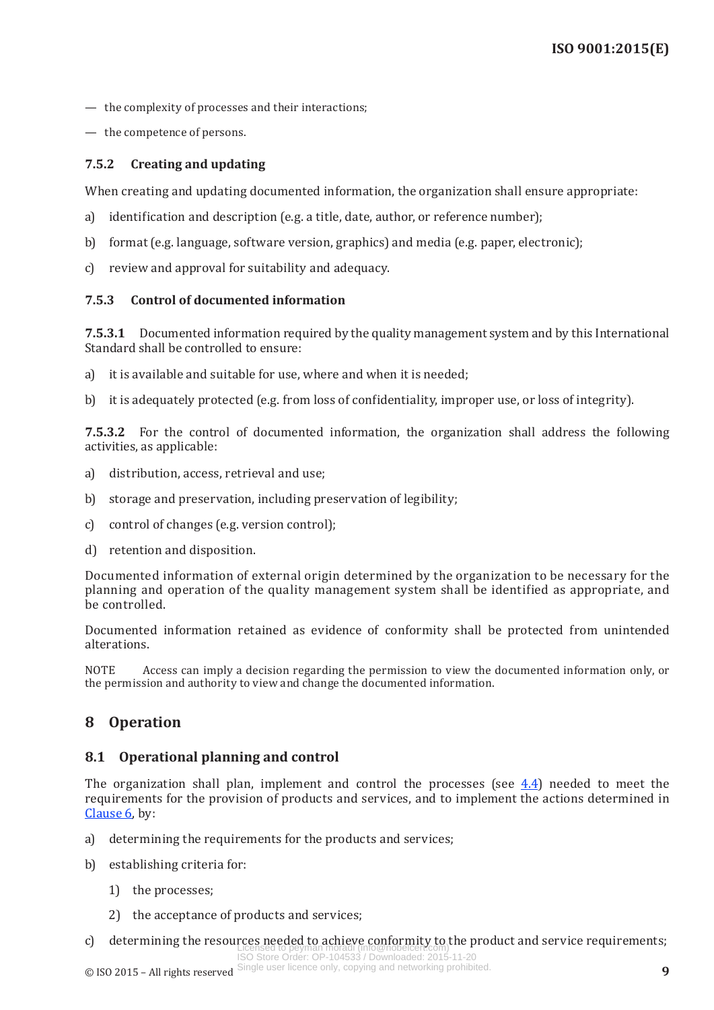- <span id="page-18-0"></span>— the complexity of processes and their interactions;
- the competence of persons.

#### **7.5.2 Creating and updating**

When creating and updating documented information, the organization shall ensure appropriate:

- a) identification and description (e.g. a title, date, author, or reference number);
- b) format (e.g. language, software version, graphics) and media (e.g. paper, electronic);
- c) review and approval for suitability and adequacy.

#### **7.5.3 Control of documented information**

**7.5.3.1** Documented information required by the quality management system and by this International Standard shall be controlled to ensure:

- a) it is available and suitable for use, where and when it is needed;
- b) it is adequately protected (e.g. from loss of confidentiality, improper use, or loss of integrity).

**7.5.3.2** For the control of documented information, the organization shall address the following activities, as applicable:

- a) distribution, access, retrieval and use;
- b) storage and preservation, including preservation of legibility;
- c) control of changes (e.g. version control);
- d) retention and disposition.

Documented information of external origin determined by the organization to be necessary for the planning and operation of the quality management system shall be identified as appropriate, and be controlled.

Documented information retained as evidence of conformity shall be protected from unintended alterations.

NOTE Access can imply a decision regarding the permission to view the documented information only, or the permission and authority to view and change the documented information.

## **8 Operation**

#### **8.1 Operational planning and control**

The organization shall plan, implement and control the processes (see [4.4\)](#page-11-1) needed to meet the requirements for the provision of products and services, and to implement the actions determined in [Clause](#page-13-2) 6, by:

- a) determining the requirements for the products and services;
- b) establishing criteria for:
	- 1) the processes;
	- 2) the acceptance of products and services;
- c) determining the resources needed to achieve conformity to the product and service requirements; Licensed to peyman moradi (info@nobelcert.com) ISO Store Order: OP-104533 / Downloaded: 2015-11-20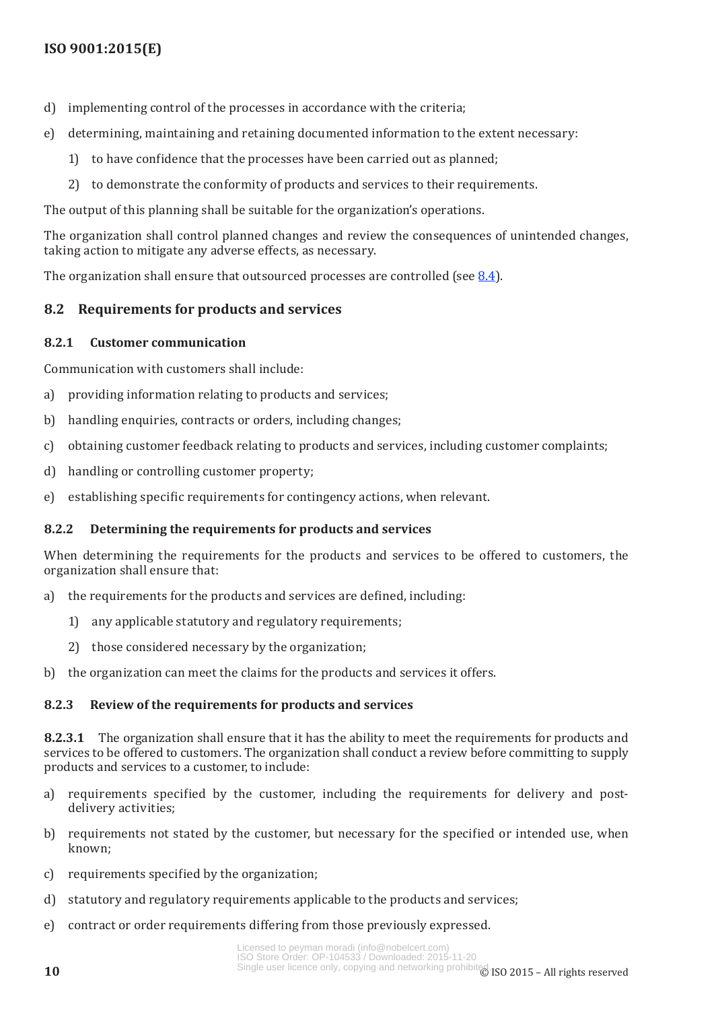- <span id="page-19-0"></span>d) implementing control of the processes in accordance with the criteria;
- e) determining, maintaining and retaining documented information to the extent necessary:
	- 1) to have confidence that the processes have been carried out as planned;
	- 2) to demonstrate the conformity of products and services to their requirements.

The output of this planning shall be suitable for the organization's operations.

The organization shall control planned changes and review the consequences of unintended changes, taking action to mitigate any adverse effects, as necessary.

The organization shall ensure that outsourced processes are controlled (see [8.4](#page-22-1)).

#### **8.2 Requirements for products and services**

#### <span id="page-19-2"></span>**8.2.1 Customer communication**

Communication with customers shall include:

- a) providing information relating to products and services;
- b) handling enquiries, contracts or orders, including changes;
- c) obtaining customer feedback relating to products and services, including customer complaints;
- d) handling or controlling customer property;
- e) establishing specific requirements for contingency actions, when relevant.

#### <span id="page-19-1"></span>**8.2.2 Determining the requirements for products and services**

When determining the requirements for the products and services to be offered to customers, the organization shall ensure that:

- a) the requirements for the products and services are defined, including:
	- 1) any applicable statutory and regulatory requirements;
	- 2) those considered necessary by the organization;
- b) the organization can meet the claims for the products and services it offers.

#### **8.2.3 Review of the requirements for products and services**

**8.2.3.1** The organization shall ensure that it has the ability to meet the requirements for products and services to be offered to customers. The organization shall conduct a review before committing to supply products and services to a customer, to include:

- a) requirements specified by the customer, including the requirements for delivery and postdelivery activities;
- b) requirements not stated by the customer, but necessary for the specified or intended use, when known;
- c) requirements specified by the organization;
- d) statutory and regulatory requirements applicable to the products and services;
- e) contract or order requirements differing from those previously expressed.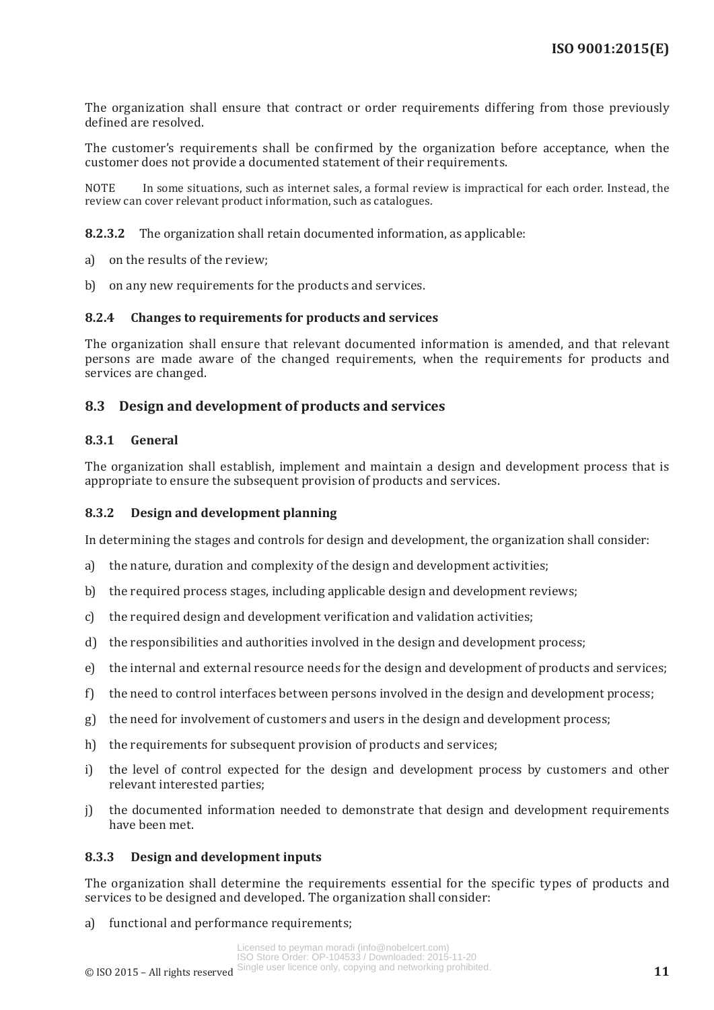<span id="page-20-0"></span>The organization shall ensure that contract or order requirements differing from those previously defined are resolved.

The customer's requirements shall be confirmed by the organization before acceptance, when the customer does not provide a documented statement of their requirements.

NOTE In some situations, such as internet sales, a formal review is impractical for each order. Instead, the review can cover relevant product information, such as catalogues.

**8.2.3.2** The organization shall retain documented information, as applicable:

- a) on the results of the review;
- b) on any new requirements for the products and services.

#### **8.2.4 Changes to requirements for products and services**

The organization shall ensure that relevant documented information is amended, and that relevant persons are made aware of the changed requirements, when the requirements for products and services are changed.

#### **8.3 Design and development of products and services**

#### **8.3.1 General**

The organization shall establish, implement and maintain a design and development process that is appropriate to ensure the subsequent provision of products and services.

#### **8.3.2 Design and development planning**

In determining the stages and controls for design and development, the organization shall consider:

- a) the nature, duration and complexity of the design and development activities;
- b) the required process stages, including applicable design and development reviews;
- c) the required design and development verification and validation activities;
- d) the responsibilities and authorities involved in the design and development process;
- e) the internal and external resource needs for the design and development of products and services;
- f) the need to control interfaces between persons involved in the design and development process;
- g) the need for involvement of customers and users in the design and development process;
- h) the requirements for subsequent provision of products and services;
- i) the level of control expected for the design and development process by customers and other relevant interested parties;
- j) the documented information needed to demonstrate that design and development requirements have been met.

#### **8.3.3 Design and development inputs**

The organization shall determine the requirements essential for the specific types of products and services to be designed and developed. The organization shall consider:

a) functional and performance requirements;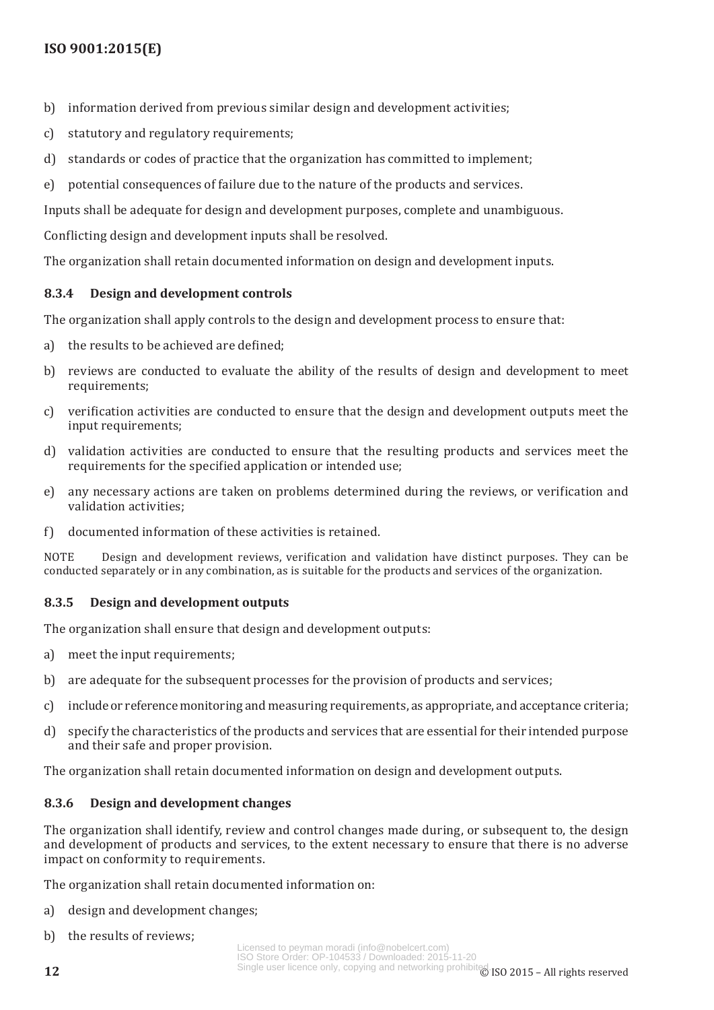### <span id="page-21-0"></span>**ISO 9001:2015(E)**

- b) information derived from previous similar design and development activities;
- c) statutory and regulatory requirements;
- d) standards or codes of practice that the organization has committed to implement;
- e) potential consequences of failure due to the nature of the products and services.

Inputs shall be adequate for design and development purposes, complete and unambiguous.

Conflicting design and development inputs shall be resolved.

The organization shall retain documented information on design and development inputs.

#### **8.3.4 Design and development controls**

The organization shall apply controls to the design and development process to ensure that:

- a) the results to be achieved are defined;
- b) reviews are conducted to evaluate the ability of the results of design and development to meet requirements;
- c) verification activities are conducted to ensure that the design and development outputs meet the input requirements;
- d) validation activities are conducted to ensure that the resulting products and services meet the requirements for the specified application or intended use;
- e) any necessary actions are taken on problems determined during the reviews, or verification and validation activities;
- f) documented information of these activities is retained.

NOTE Design and development reviews, verification and validation have distinct purposes. They can be conducted separately or in any combination, as is suitable for the products and services of the organization.

#### **8.3.5 Design and development outputs**

The organization shall ensure that design and development outputs:

- a) meet the input requirements:
- b) are adequate for the subsequent processes for the provision of products and services;
- c) include or reference monitoring and measuring requirements, as appropriate, and acceptance criteria;
- d) specify the characteristics of the products and services that are essential for their intended purpose and their safe and proper provision.

The organization shall retain documented information on design and development outputs.

#### **8.3.6 Design and development changes**

The organization shall identify, review and control changes made during, or subsequent to, the design and development of products and services, to the extent necessary to ensure that there is no adverse impact on conformity to requirements.

The organization shall retain documented information on:

- a) design and development changes;
- b) the results of reviews;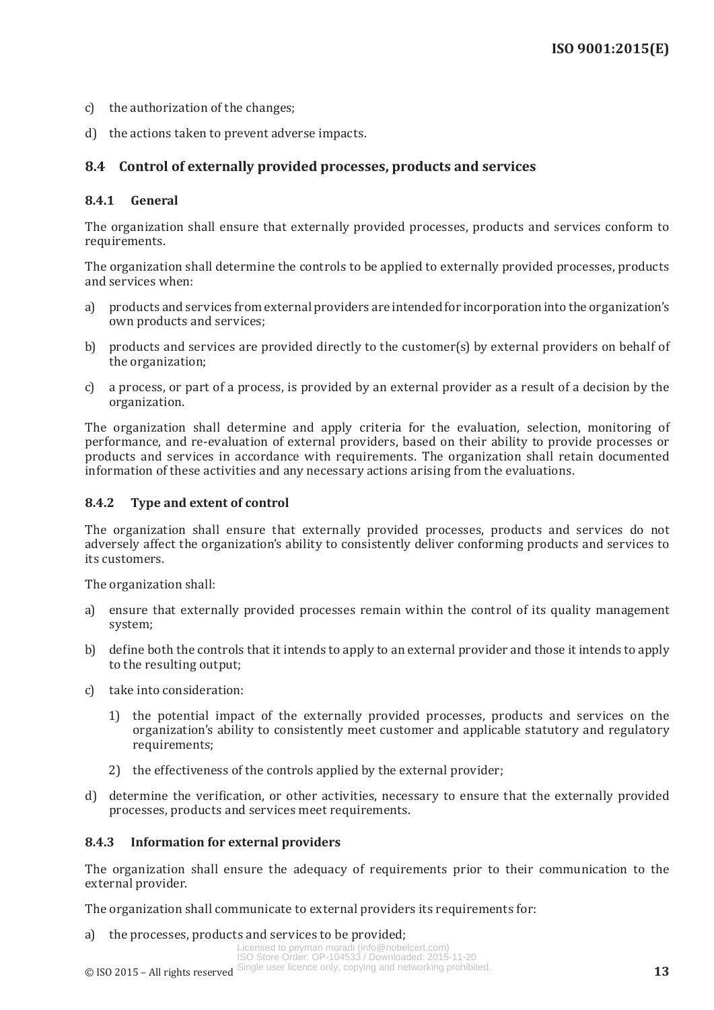- <span id="page-22-0"></span>c) the authorization of the changes;
- d) the actions taken to prevent adverse impacts.

#### <span id="page-22-1"></span>**8.4 Control of externally provided processes, products and services**

#### **8.4.1 General**

The organization shall ensure that externally provided processes, products and services conform to requirements.

The organization shall determine the controls to be applied to externally provided processes, products and services when:

- a) products and services from external providers are intended for incorporation into the organization's own products and services;
- b) products and services are provided directly to the customer(s) by external providers on behalf of the organization;
- c) a process, or part of a process, is provided by an external provider as a result of a decision by the organization.

The organization shall determine and apply criteria for the evaluation, selection, monitoring of performance, and re-evaluation of external providers, based on their ability to provide processes or products and services in accordance with requirements. The organization shall retain documented information of these activities and any necessary actions arising from the evaluations.

#### **8.4.2 Type and extent of control**

The organization shall ensure that externally provided processes, products and services do not adversely affect the organization's ability to consistently deliver conforming products and services to its customers.

The organization shall:

- a) ensure that externally provided processes remain within the control of its quality management system;
- b) define both the controls that it intends to apply to an external provider and those it intends to apply to the resulting output;
- c) take into consideration:
	- 1) the potential impact of the externally provided processes, products and services on the organization's ability to consistently meet customer and applicable statutory and regulatory requirements;
	- 2) the effectiveness of the controls applied by the external provider;
- d) determine the verification, or other activities, necessary to ensure that the externally provided processes, products and services meet requirements.

#### **8.4.3 Information for external providers**

The organization shall ensure the adequacy of requirements prior to their communication to the external provider.

The organization shall communicate to external providers its requirements for:

a) the processes, products and services to be provided;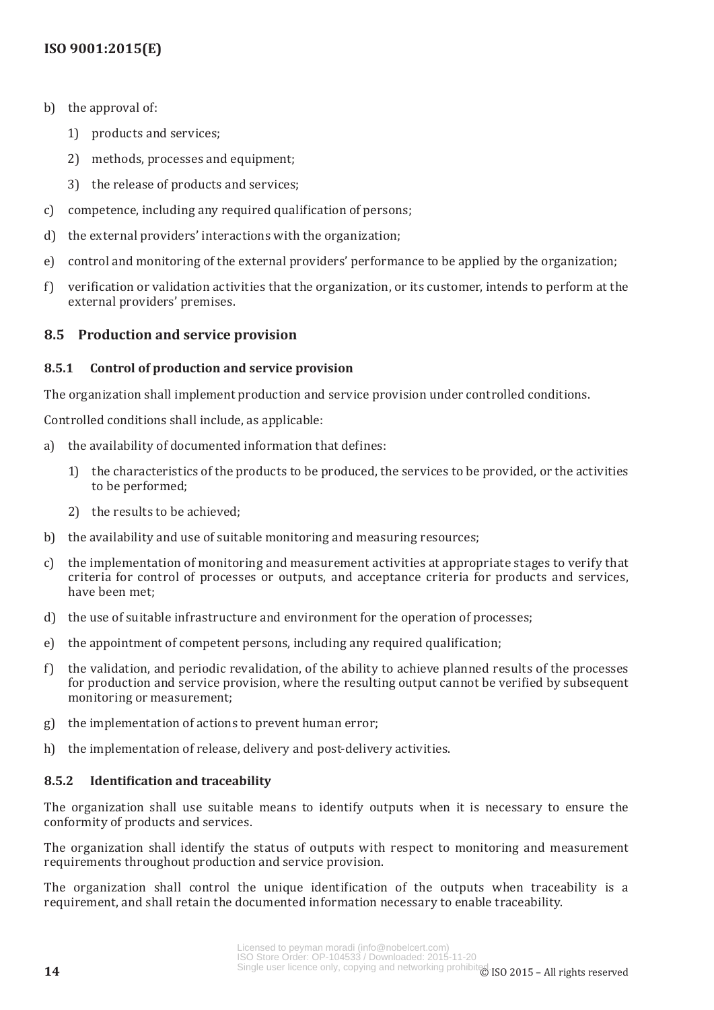## <span id="page-23-0"></span>**ISO 9001:2015(E)**

- b) the approval of:
	- 1) products and services;
	- 2) methods, processes and equipment;
	- 3) the release of products and services;
- c) competence, including any required qualification of persons;
- d) the external providers' interactions with the organization;
- e) control and monitoring of the external providers' performance to be applied by the organization;
- f) verification or validation activities that the organization, or its customer, intends to perform at the external providers' premises.

#### **8.5 Production and service provision**

#### <span id="page-23-1"></span>**8.5.1 Control of production and service provision**

The organization shall implement production and service provision under controlled conditions.

Controlled conditions shall include, as applicable:

- a) the availability of documented information that defines:
	- 1) the characteristics of the products to be produced, the services to be provided, or the activities to be performed;
	- 2) the results to be achieved;
- b) the availability and use of suitable monitoring and measuring resources;
- c) the implementation of monitoring and measurement activities at appropriate stages to verify that criteria for control of processes or outputs, and acceptance criteria for products and services, have been met;
- d) the use of suitable infrastructure and environment for the operation of processes;
- e) the appointment of competent persons, including any required qualification;
- f) the validation, and periodic revalidation, of the ability to achieve planned results of the processes for production and service provision, where the resulting output cannot be verified by subsequent monitoring or measurement;
- g) the implementation of actions to prevent human error;
- h) the implementation of release, delivery and post-delivery activities.

#### <span id="page-23-2"></span>**8.5.2 Identification and traceability**

The organization shall use suitable means to identify outputs when it is necessary to ensure the conformity of products and services.

The organization shall identify the status of outputs with respect to monitoring and measurement requirements throughout production and service provision.

The organization shall control the unique identification of the outputs when traceability is a requirement, and shall retain the documented information necessary to enable traceability.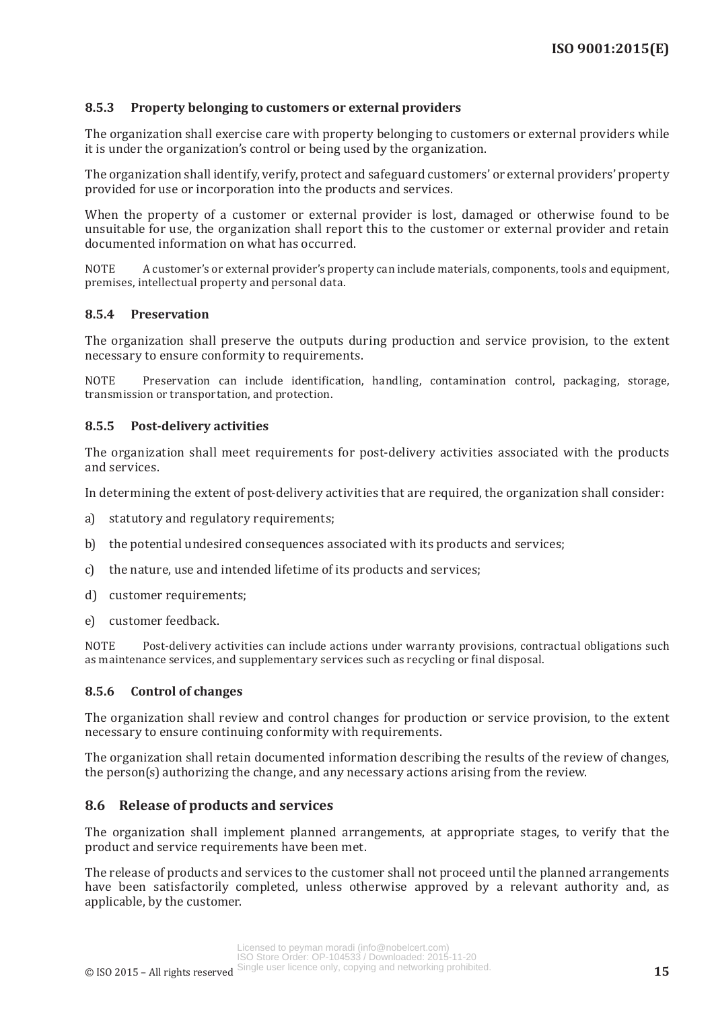#### <span id="page-24-0"></span>**8.5.3 Property belonging to customers or external providers**

The organization shall exercise care with property belonging to customers or external providers while it is under the organization's control or being used by the organization.

The organization shall identify, verify, protect and safeguard customers' or external providers' property provided for use or incorporation into the products and services.

When the property of a customer or external provider is lost, damaged or otherwise found to be unsuitable for use, the organization shall report this to the customer or external provider and retain documented information on what has occurred.

NOTE A customer's or external provider's property can include materials, components, tools and equipment, premises, intellectual property and personal data.

#### **8.5.4 Preservation**

The organization shall preserve the outputs during production and service provision, to the extent necessary to ensure conformity to requirements.

NOTE Preservation can include identification, handling, contamination control, packaging, storage, transmission or transportation, and protection.

#### **8.5.5 Post-delivery activities**

The organization shall meet requirements for post-delivery activities associated with the products and services.

In determining the extent of post-delivery activities that are required, the organization shall consider:

- a) statutory and regulatory requirements;
- b) the potential undesired consequences associated with its products and services;
- c) the nature, use and intended lifetime of its products and services;
- d) customer requirements;
- e) customer feedback.

NOTE Post-delivery activities can include actions under warranty provisions, contractual obligations such as maintenance services, and supplementary services such as recycling or final disposal.

#### **8.5.6 Control of changes**

The organization shall review and control changes for production or service provision, to the extent necessary to ensure continuing conformity with requirements.

The organization shall retain documented information describing the results of the review of changes, the person(s) authorizing the change, and any necessary actions arising from the review.

#### **8.6 Release of products and services**

The organization shall implement planned arrangements, at appropriate stages, to verify that the product and service requirements have been met.

The release of products and services to the customer shall not proceed until the planned arrangements have been satisfactorily completed, unless otherwise approved by a relevant authority and, as applicable, by the customer.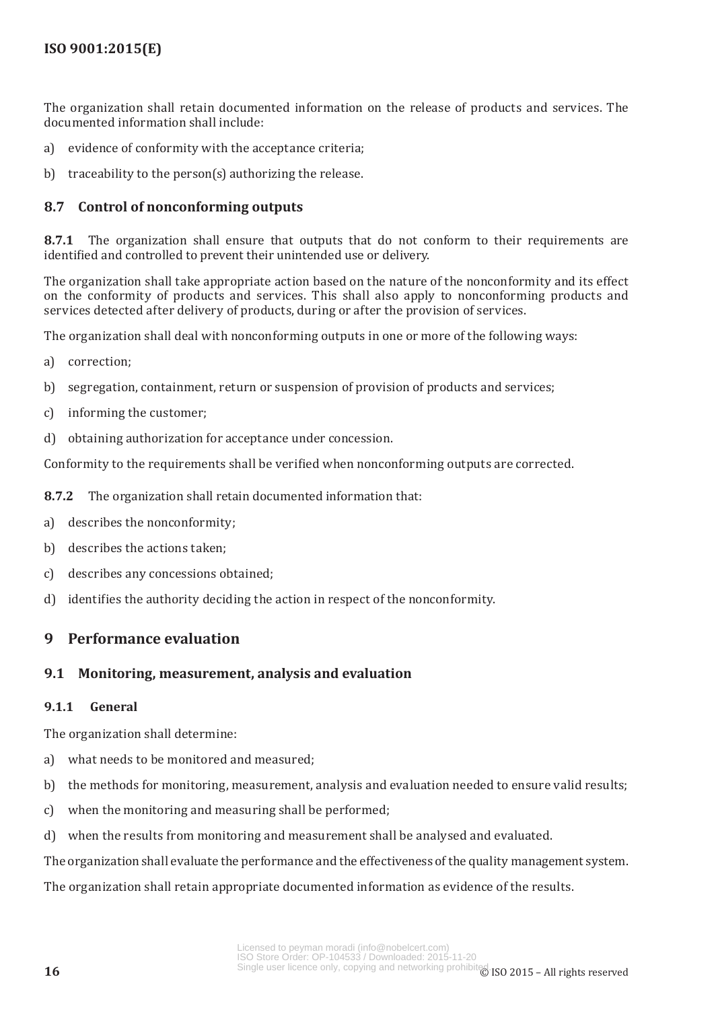<span id="page-25-0"></span>The organization shall retain documented information on the release of products and services. The documented information shall include:

- a) evidence of conformity with the acceptance criteria;
- b) traceability to the person(s) authorizing the release.

#### **8.7 Control of nonconforming outputs**

**8.7.1** The organization shall ensure that outputs that do not conform to their requirements are identified and controlled to prevent their unintended use or delivery.

The organization shall take appropriate action based on the nature of the nonconformity and its effect on the conformity of products and services. This shall also apply to nonconforming products and services detected after delivery of products, during or after the provision of services.

The organization shall deal with nonconforming outputs in one or more of the following ways:

- a) correction;
- b) segregation, containment, return or suspension of provision of products and services;
- c) informing the customer;
- d) obtaining authorization for acceptance under concession.

Conformity to the requirements shall be verified when nonconforming outputs are corrected.

- **8.7.2** The organization shall retain documented information that:
- a) describes the nonconformity;
- b) describes the actions taken;
- c) describes any concessions obtained;
- d) identifies the authority deciding the action in respect of the nonconformity.

### **9 Performance evaluation**

#### <span id="page-25-1"></span>**9.1 Monitoring, measurement, analysis and evaluation**

#### **9.1.1 General**

The organization shall determine:

- a) what needs to be monitored and measured;
- b) the methods for monitoring, measurement, analysis and evaluation needed to ensure valid results;
- c) when the monitoring and measuring shall be performed;
- d) when the results from monitoring and measurement shall be analysed and evaluated.

The organization shall evaluate the performance and the effectiveness of the quality management system.

The organization shall retain appropriate documented information as evidence of the results.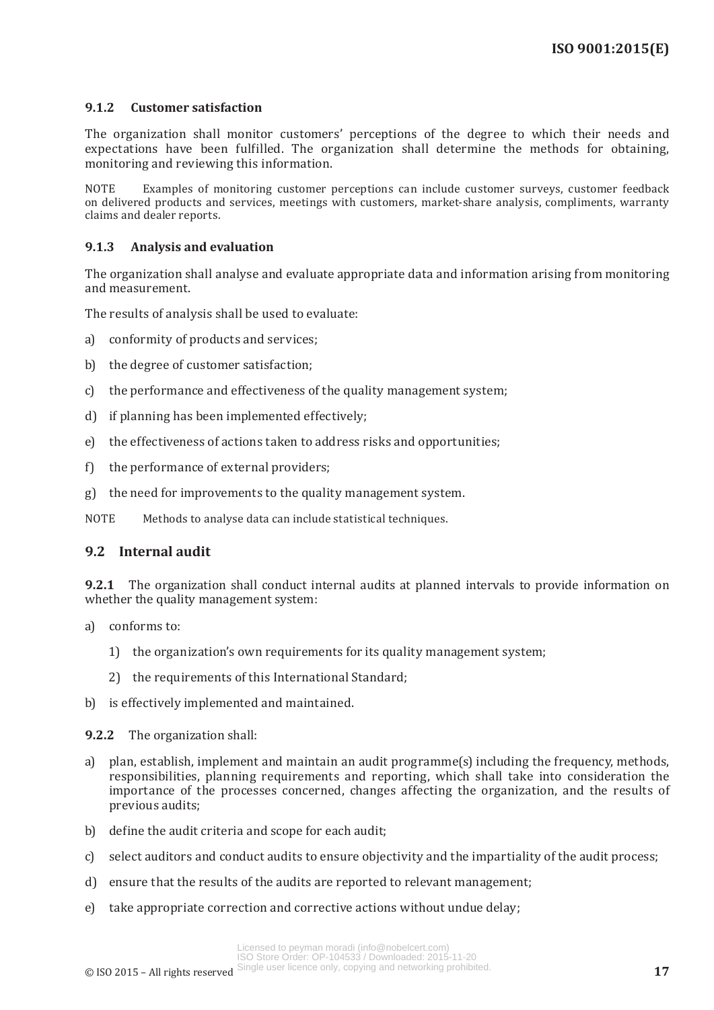#### <span id="page-26-1"></span><span id="page-26-0"></span>**9.1.2 Customer satisfaction**

The organization shall monitor customers' perceptions of the degree to which their needs and expectations have been fulfilled. The organization shall determine the methods for obtaining, monitoring and reviewing this information.

NOTE Examples of monitoring customer perceptions can include customer surveys, customer feedback on delivered products and services, meetings with customers, market-share analysis, compliments, warranty claims and dealer reports.

#### <span id="page-26-2"></span>**9.1.3 Analysis and evaluation**

The organization shall analyse and evaluate appropriate data and information arising from monitoring and measurement.

The results of analysis shall be used to evaluate:

- a) conformity of products and services;
- b) the degree of customer satisfaction;
- c) the performance and effectiveness of the quality management system;
- d) if planning has been implemented effectively;
- e) the effectiveness of actions taken to address risks and opportunities;
- f) the performance of external providers;
- g) the need for improvements to the quality management system.

NOTE Methods to analyse data can include statistical techniques.

#### <span id="page-26-3"></span>**9.2 Internal audit**

**9.2.1** The organization shall conduct internal audits at planned intervals to provide information on whether the quality management system:

- a) conforms to:
	- 1) the organization's own requirements for its quality management system;
	- 2) the requirements of this International Standard;
- b) is effectively implemented and maintained.
- **9.2.2** The organization shall:
- a) plan, establish, implement and maintain an audit programme(s) including the frequency, methods, responsibilities, planning requirements and reporting, which shall take into consideration the importance of the processes concerned, changes affecting the organization, and the results of previous audits;
- b) define the audit criteria and scope for each audit;
- c) select auditors and conduct audits to ensure objectivity and the impartiality of the audit process;
- d) ensure that the results of the audits are reported to relevant management;
- e) take appropriate correction and corrective actions without undue delay;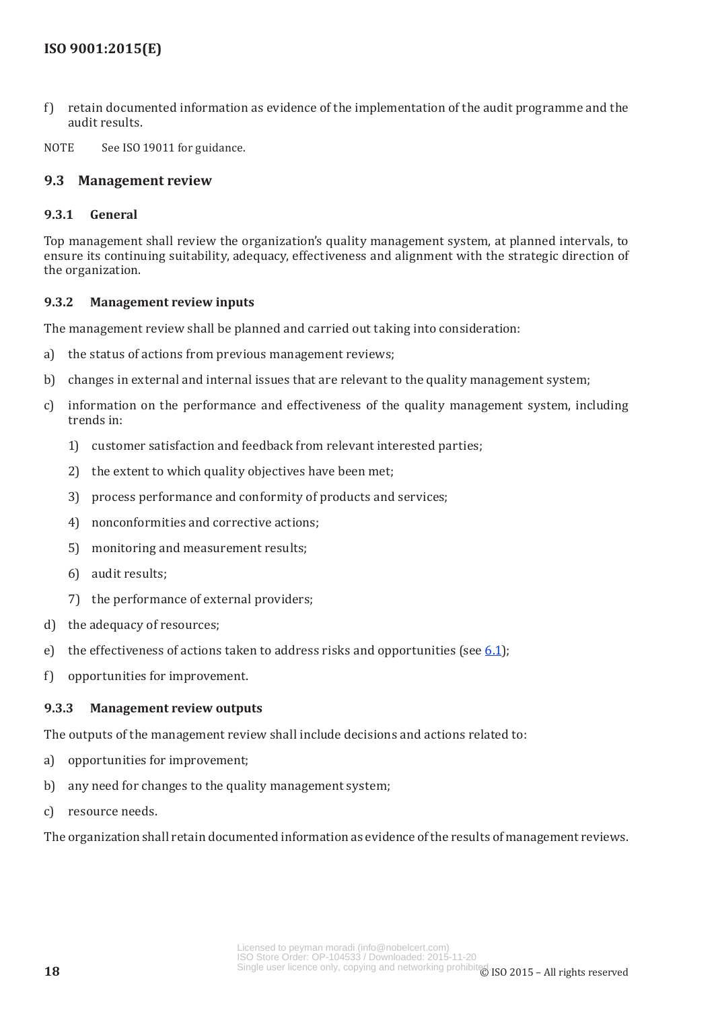- <span id="page-27-0"></span>f) retain documented information as evidence of the implementation of the audit programme and the audit results.
- NOTE See ISO 19011 for guidance.

#### **9.3 Management review**

#### **9.3.1 General**

Top management shall review the organization's quality management system, at planned intervals, to ensure its continuing suitability, adequacy, effectiveness and alignment with the strategic direction of the organization.

#### **9.3.2 Management review inputs**

The management review shall be planned and carried out taking into consideration:

- a) the status of actions from previous management reviews;
- b) changes in external and internal issues that are relevant to the quality management system;
- c) information on the performance and effectiveness of the quality management system, including trends in:
	- 1) customer satisfaction and feedback from relevant interested parties;
	- 2) the extent to which quality objectives have been met;
	- 3) process performance and conformity of products and services;
	- 4) nonconformities and corrective actions;
	- 5) monitoring and measurement results;
	- 6) audit results;
	- 7) the performance of external providers;
- d) the adequacy of resources;
- e) the effectiveness of actions taken to address risks and opportunities (see [6.1](#page-13-1));
- f) opportunities for improvement.

#### **9.3.3 Management review outputs**

The outputs of the management review shall include decisions and actions related to:

- a) opportunities for improvement;
- b) any need for changes to the quality management system;
- c) resource needs.

The organization shall retain documented information as evidence of the results of management reviews.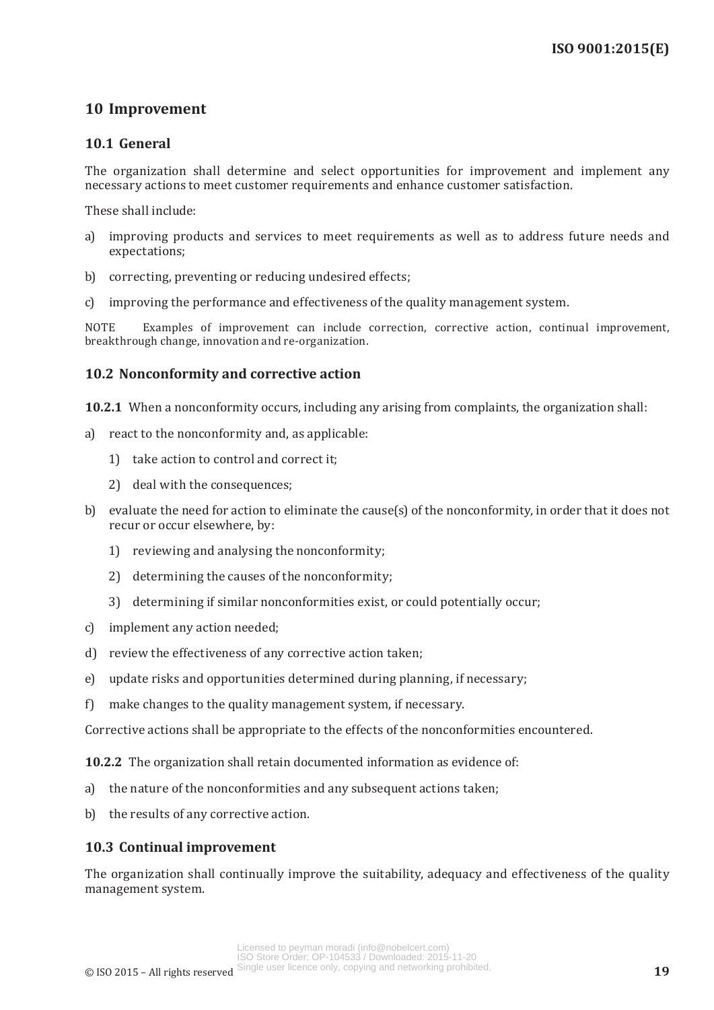## <span id="page-28-1"></span><span id="page-28-0"></span>**10 Improvement**

#### <span id="page-28-2"></span>**10.1 General**

The organization shall determine and select opportunities for improvement and implement any necessary actions to meet customer requirements and enhance customer satisfaction.

These shall include:

- a) improving products and services to meet requirements as well as to address future needs and expectations;
- b) correcting, preventing or reducing undesired effects;
- c) improving the performance and effectiveness of the quality management system.

NOTE Examples of improvement can include correction, corrective action, continual improvement, breakthrough change, innovation and re-organization.

#### <span id="page-28-4"></span>**10.2 Nonconformity and corrective action**

<span id="page-28-3"></span>**10.2.1** When a nonconformity occurs, including any arising from complaints, the organization shall:

- a) react to the nonconformity and, as applicable:
	- 1) take action to control and correct it;
	- 2) deal with the consequences;
- b) evaluate the need for action to eliminate the cause(s) of the nonconformity, in order that it does not recur or occur elsewhere, by:
	- 1) reviewing and analysing the nonconformity;
	- 2) determining the causes of the nonconformity;
	- 3) determining if similar nonconformities exist, or could potentially occur;
- c) implement any action needed;
- d) review the effectiveness of any corrective action taken;
- e) update risks and opportunities determined during planning, if necessary;
- f) make changes to the quality management system, if necessary.

Corrective actions shall be appropriate to the effects of the nonconformities encountered.

**10.2.2** The organization shall retain documented information as evidence of:

- a) the nature of the nonconformities and any subsequent actions taken;
- b) the results of any corrective action.

#### **10.3 Continual improvement**

The organization shall continually improve the suitability, adequacy and effectiveness of the quality management system.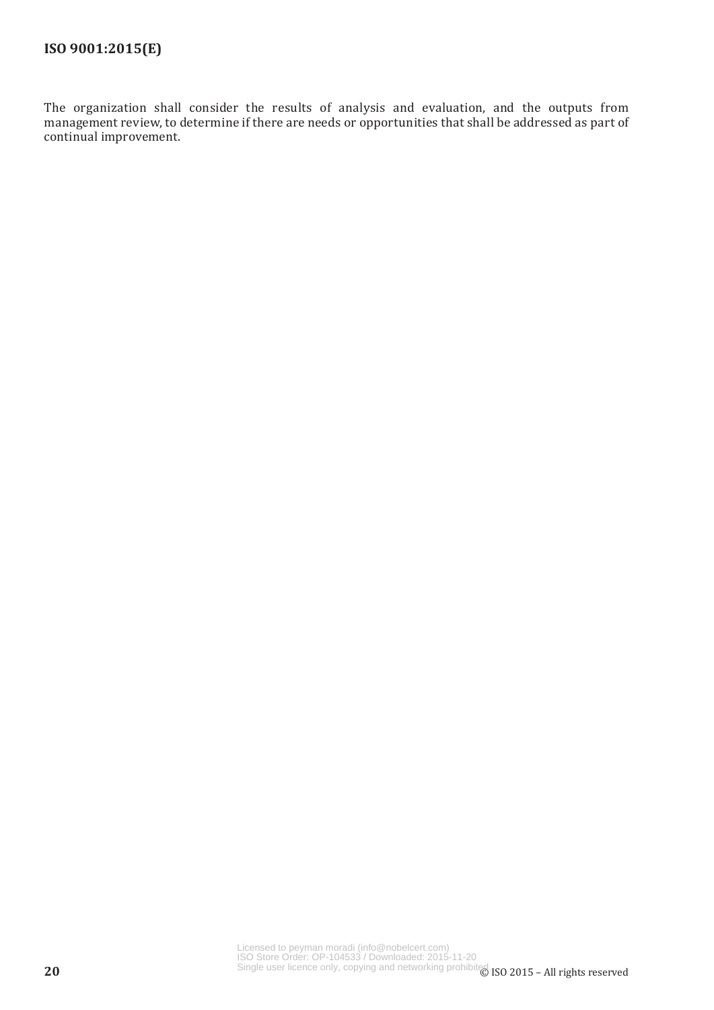The organization shall consider the results of analysis and evaluation, and the outputs from management review, to determine if there are needs or opportunities that shall be addressed as part of continual improvement.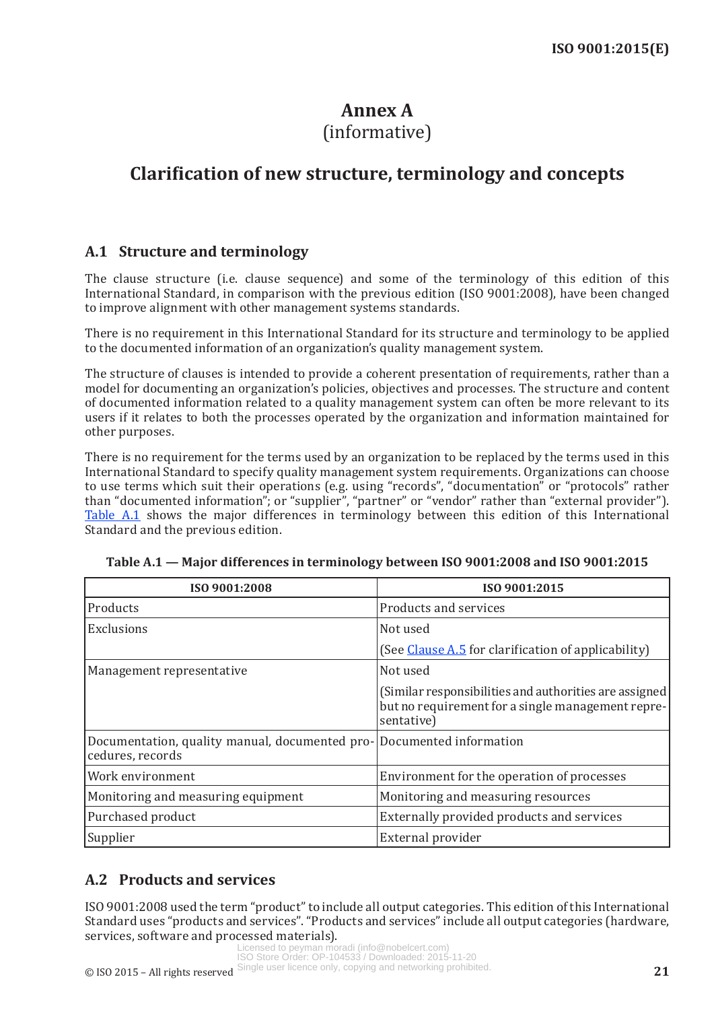## **Annex A** (informative)

## <span id="page-30-0"></span>**Clarification of new structure, terminology and concepts**

## <span id="page-30-1"></span>**A.1 Structure and terminology**

The clause structure (i.e. clause sequence) and some of the terminology of this edition of this International Standard, in comparison with the previous edition (ISO 9001:2008), have been changed to improve alignment with other management systems standards.

There is no requirement in this International Standard for its structure and terminology to be applied to the documented information of an organization's quality management system.

The structure of clauses is intended to provide a coherent presentation of requirements, rather than a model for documenting an organization's policies, objectives and processes. The structure and content of documented information related to a quality management system can often be more relevant to its users if it relates to both the processes operated by the organization and information maintained for other purposes.

There is no requirement for the terms used by an organization to be replaced by the terms used in this International Standard to specify quality management system requirements. Organizations can choose to use terms which suit their operations (e.g. using "records", "documentation" or "protocols" rather than "documented information"; or "supplier", "partner" or "vendor" rather than "external provider"). [Table](#page-30-2) A.1 shows the major differences in terminology between this edition of this International Standard and the previous edition.

| ISO 9001:2008                                                                                 | ISO 9001:2015                                                                                                              |
|-----------------------------------------------------------------------------------------------|----------------------------------------------------------------------------------------------------------------------------|
| Products                                                                                      | Products and services                                                                                                      |
| Exclusions                                                                                    | Not used                                                                                                                   |
|                                                                                               | (See Clause A.5 for clarification of applicability)                                                                        |
| Management representative                                                                     | Not used                                                                                                                   |
|                                                                                               | (Similar responsibilities and authorities are assigned)<br>but no requirement for a single management repre-<br>sentative) |
| Documentation, quality manual, documented pro-<br> Documented information<br>cedures, records |                                                                                                                            |
| Work environment                                                                              | Environment for the operation of processes                                                                                 |
| Monitoring and measuring equipment                                                            | Monitoring and measuring resources                                                                                         |
| Purchased product                                                                             | Externally provided products and services                                                                                  |
| Supplier                                                                                      | External provider                                                                                                          |

<span id="page-30-2"></span>**Table A.1 — Major differences in terminology between ISO 9001:2008 and ISO 9001:2015**

## **A.2 Products and services**

ISO 9001:2008 used the term "product" to include all output categories. This edition of this International Standard uses "products and services". "Products and services" include all output categories (hardware, services, software and processed materials).

 Licensed to peyman moradi (info@nobelcert.com) ISO Store Order: OP-104533 / Downloaded: 2015-11-20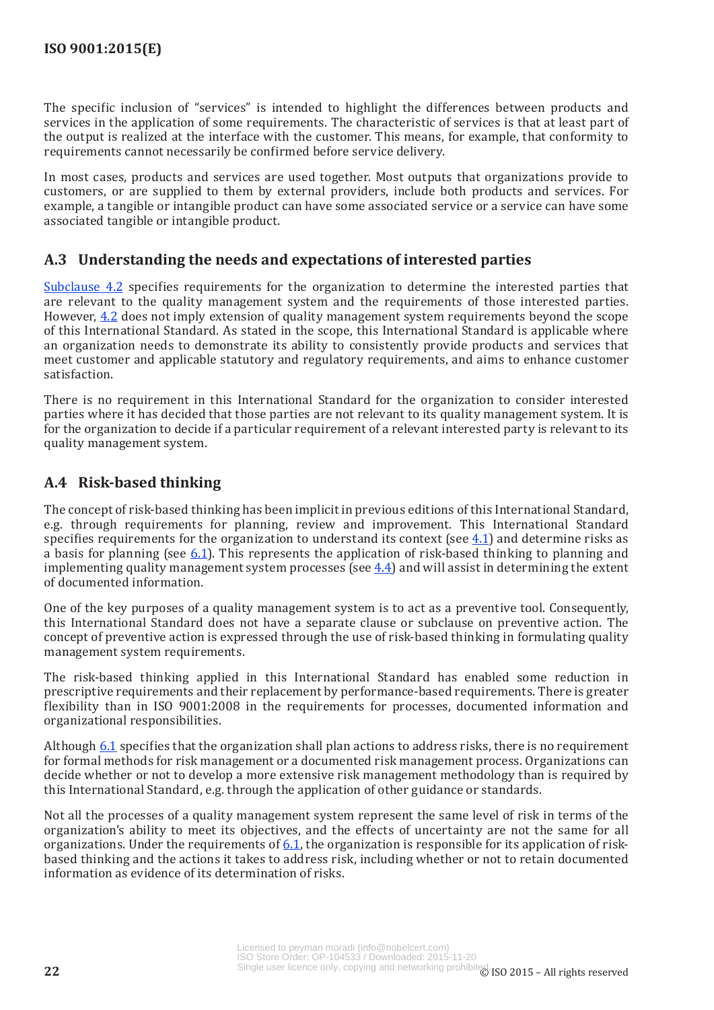The specific inclusion of "services" is intended to highlight the differences between products and services in the application of some requirements. The characteristic of services is that at least part of the output is realized at the interface with the customer. This means, for example, that conformity to requirements cannot necessarily be confirmed before service delivery.

In most cases, products and services are used together. Most outputs that organizations provide to customers, or are supplied to them by external providers, include both products and services. For example, a tangible or intangible product can have some associated service or a service can have some associated tangible or intangible product.

### **A.3 Understanding the needs and expectations of interested parties**

[Subclause 4.2](#page-11-2) specifies requirements for the organization to determine the interested parties that are relevant to the quality management system and the requirements of those interested parties. However, [4.2](#page-11-2) does not imply extension of quality management system requirements beyond the scope of this International Standard. As stated in the scope, this International Standard is applicable where an organization needs to demonstrate its ability to consistently provide products and services that meet customer and applicable statutory and regulatory requirements, and aims to enhance customer satisfaction.

There is no requirement in this International Standard for the organization to consider interested parties where it has decided that those parties are not relevant to its quality management system. It is for the organization to decide if a particular requirement of a relevant interested party is relevant to its quality management system.

## <span id="page-31-0"></span>**A.4 Risk-based thinking**

The concept of risk-based thinking has been implicit in previous editions of this International Standard, e.g. through requirements for planning, review and improvement. This International Standard specifies requirements for the organization to understand its context (see [4.1\)](#page-10-2) and determine risks as a basis for planning (see  $6.1$ ). This represents the application of risk-based thinking to planning and implementing quality management system processes (see  $4.4$ ) and will assist in determining the extent of documented information.

One of the key purposes of a quality management system is to act as a preventive tool. Consequently, this International Standard does not have a separate clause or subclause on preventive action. The concept of preventive action is expressed through the use of risk-based thinking in formulating quality management system requirements.

The risk-based thinking applied in this International Standard has enabled some reduction in prescriptive requirements and their replacement by performance-based requirements. There is greater flexibility than in ISO 9001:2008 in the requirements for processes, documented information and organizational responsibilities.

Although [6.1](#page-13-1) specifies that the organization shall plan actions to address risks, there is no requirement for formal methods for risk management or a documented risk management process. Organizations can decide whether or not to develop a more extensive risk management methodology than is required by this International Standard, e.g. through the application of other guidance or standards.

Not all the processes of a quality management system represent the same level of risk in terms of the organization's ability to meet its objectives, and the effects of uncertainty are not the same for all organizations. Under the requirements of  $6.1$ , the organization is responsible for its application of riskbased thinking and the actions it takes to address risk, including whether or not to retain documented information as evidence of its determination of risks.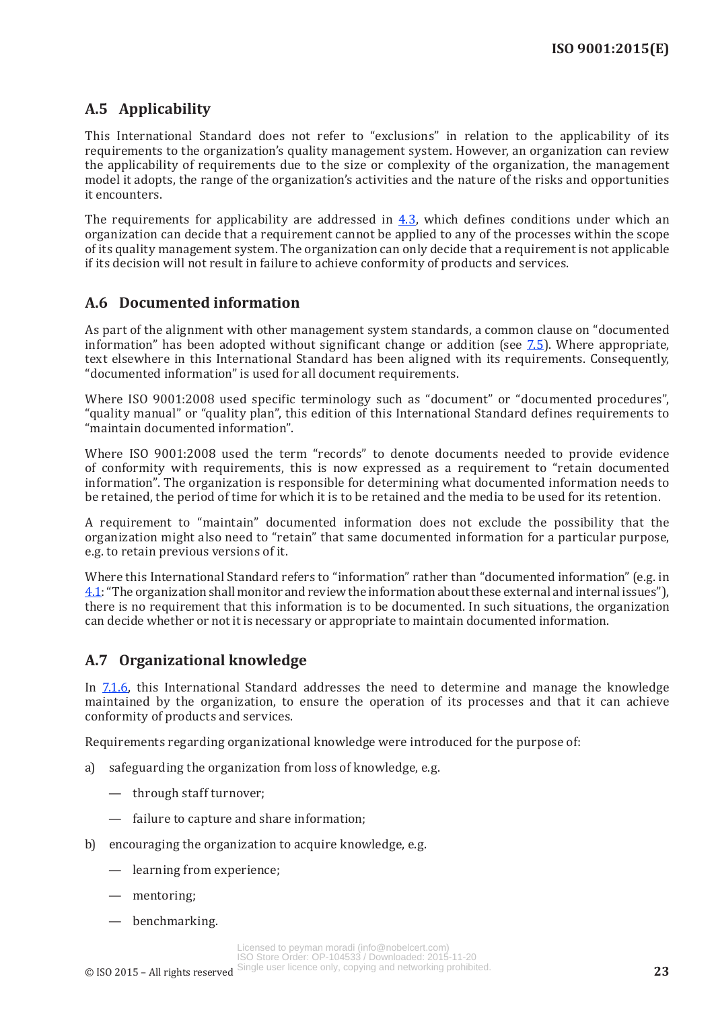## <span id="page-32-0"></span>**A.5 Applicability**

This International Standard does not refer to "exclusions" in relation to the applicability of its requirements to the organization's quality management system. However, an organization can review the applicability of requirements due to the size or complexity of the organization, the management model it adopts, the range of the organization's activities and the nature of the risks and opportunities it encounters.

The requirements for applicability are addressed in  $4.3$ , which defines conditions under which an organization can decide that a requirement cannot be applied to any of the processes within the scope of its quality management system. The organization can only decide that a requirement is not applicable if its decision will not result in failure to achieve conformity of products and services.

### **A.6 Documented information**

As part of the alignment with other management system standards, a common clause on "documented information" has been adopted without significant change or addition (see [7.5](#page-17-1)). Where appropriate, text elsewhere in this International Standard has been aligned with its requirements. Consequently, "documented information" is used for all document requirements.

Where ISO 9001:2008 used specific terminology such as "document" or "documented procedures", "quality manual" or "quality plan", this edition of this International Standard defines requirements to "maintain documented information".

Where ISO 9001:2008 used the term "records" to denote documents needed to provide evidence of conformity with requirements, this is now expressed as a requirement to "retain documented information". The organization is responsible for determining what documented information needs to be retained, the period of time for which it is to be retained and the media to be used for its retention.

A requirement to "maintain" documented information does not exclude the possibility that the organization might also need to "retain" that same documented information for a particular purpose, e.g. to retain previous versions of it.

Where this International Standard refers to "information" rather than "documented information" (e.g. in [4.1:](#page-10-2) "The organization shall monitor and review the information about these external and internal issues"), there is no requirement that this information is to be documented. In such situations, the organization can decide whether or not it is necessary or appropriate to maintain documented information.

## **A.7 Organizational knowledge**

In [7.1.6](#page-16-1), this International Standard addresses the need to determine and manage the knowledge maintained by the organization, to ensure the operation of its processes and that it can achieve conformity of products and services.

Requirements regarding organizational knowledge were introduced for the purpose of:

- a) safeguarding the organization from loss of knowledge, e.g.
	- through staff turnover;
	- failure to capture and share information;
- b) encouraging the organization to acquire knowledge, e.g.
	- learning from experience;
	- mentoring;
	- benchmarking.

 Licensed to peyman moradi (info@nobelcert.com) ISO Store Order: OP-104533 / Downloaded: 2015-11-20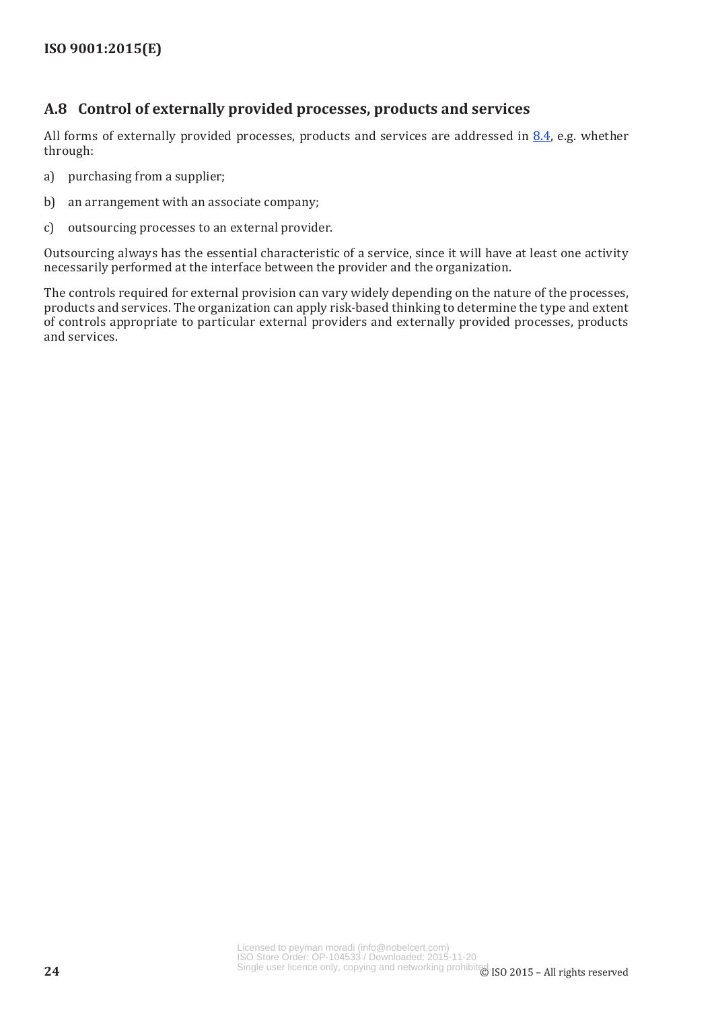## **A.8 Control of externally provided processes, products and services**

All forms of externally provided processes, products and services are addressed in  $8.4$ , e.g. whether through:

- a) purchasing from a supplier;
- b) an arrangement with an associate company;
- c) outsourcing processes to an external provider.

Outsourcing always has the essential characteristic of a service, since it will have at least one activity necessarily performed at the interface between the provider and the organization.

The controls required for external provision can vary widely depending on the nature of the processes, products and services. The organization can apply risk-based thinking to determine the type and extent of controls appropriate to particular external providers and externally provided processes, products and services.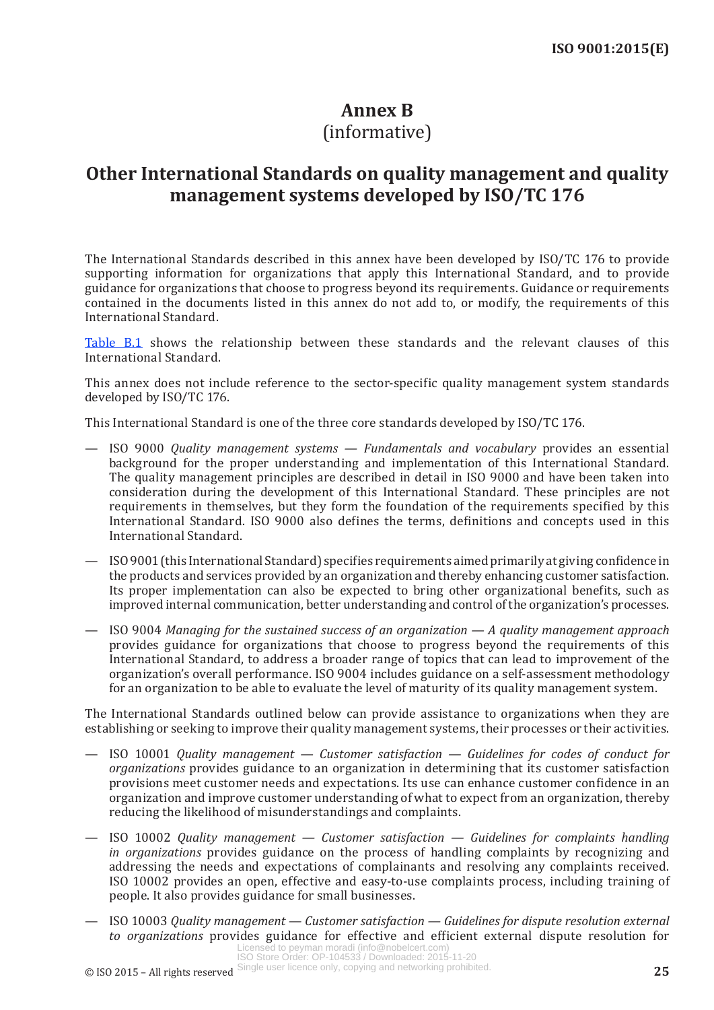## <span id="page-34-1"></span>**Annex B**

## (informative)

## <span id="page-34-0"></span>**Other International Standards on quality management and quality management systems developed by ISO/TC 176**

The International Standards described in this annex have been developed by ISO/TC 176 to provide supporting information for organizations that apply this International Standard, and to provide guidance for organizations that choose to progress beyond its requirements. Guidance or requirements contained in the documents listed in this annex do not add to, or modify, the requirements of this International Standard.

[Table](#page-36-0) B.1 shows the relationship between these standards and the relevant clauses of this International Standard.

This annex does not include reference to the sector-specific quality management system standards developed by ISO/TC 176.

This International Standard is one of the three core standards developed by ISO/TC 176.

- ISO 9000 *Quality management systems Fundamentals and vocabulary* provides an essential background for the proper understanding and implementation of this International Standard. The quality management principles are described in detail in ISO 9000 and have been taken into consideration during the development of this International Standard. These principles are not requirements in themselves, but they form the foundation of the requirements specified by this International Standard. ISO 9000 also defines the terms, definitions and concepts used in this International Standard.
- ISO9001 (this International Standard) specifies requirements aimed primarily at giving confidence in the products and services provided by an organization and thereby enhancing customer satisfaction. Its proper implementation can also be expected to bring other organizational benefits, such as improved internal communication, better understanding and control of the organization's processes.
- ISO 9004 *Managing for the sustained success of an organization A quality management approach* provides guidance for organizations that choose to progress beyond the requirements of this International Standard, to address a broader range of topics that can lead to improvement of the organization's overall performance. ISO 9004 includes guidance on a self-assessment methodology for an organization to be able to evaluate the level of maturity of its quality management system.

The International Standards outlined below can provide assistance to organizations when they are establishing or seeking to improve their quality management systems, their processes or their activities.

- ISO 10001 *Quality management Customer satisfaction Guidelines for codes of conduct for organizations* provides guidance to an organization in determining that its customer satisfaction provisions meet customer needs and expectations. Its use can enhance customer confidence in an organization and improve customer understanding of what to expect from an organization, thereby reducing the likelihood of misunderstandings and complaints.
- ISO 10002 *Quality management Customer satisfaction Guidelines for complaints handling in organizations* provides guidance on the process of handling complaints by recognizing and addressing the needs and expectations of complainants and resolving any complaints received. ISO 10002 provides an open, effective and easy-to-use complaints process, including training of people. It also provides guidance for small businesses.
- ISO 10003 *Quality management Customer satisfaction Guidelines for dispute resolution external to organizations* provides guidance for effective and efficient external dispute resolution for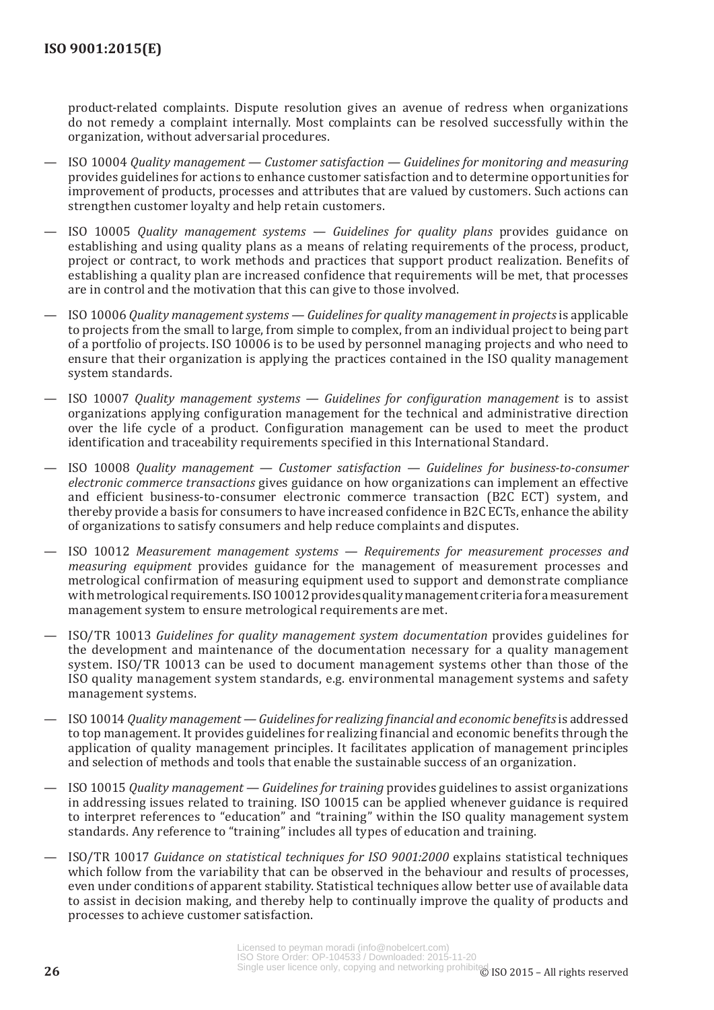product-related complaints. Dispute resolution gives an avenue of redress when organizations do not remedy a complaint internally. Most complaints can be resolved successfully within the organization, without adversarial procedures.

- ISO 10004 *Quality management Customer satisfaction Guidelines for monitoring and measuring* provides guidelines for actions to enhance customer satisfaction and to determine opportunities for improvement of products, processes and attributes that are valued by customers. Such actions can strengthen customer loyalty and help retain customers.
- ISO 10005 *Quality management systems Guidelines for quality plans* provides guidance on establishing and using quality plans as a means of relating requirements of the process, product, project or contract, to work methods and practices that support product realization. Benefits of establishing a quality plan are increased confidence that requirements will be met, that processes are in control and the motivation that this can give to those involved.
- ISO 10006 *Quality management systems Guidelines for quality management in projects* is applicable to projects from the small to large, from simple to complex, from an individual project to being part of a portfolio of projects. ISO 10006 is to be used by personnel managing projects and who need to ensure that their organization is applying the practices contained in the ISO quality management system standards.
- ISO 10007 *Quality management systems Guidelines for configuration management* is to assist organizations applying configuration management for the technical and administrative direction over the life cycle of a product. Configuration management can be used to meet the product identification and traceability requirements specified in this International Standard.
- ISO 10008 *Quality management Customer satisfaction Guidelines for business-to-consumer electronic commerce transactions* gives guidance on how organizations can implement an effective and efficient business-to-consumer electronic commerce transaction (B2C ECT) system, and thereby provide a basis for consumers to have increased confidence in B2C ECTs, enhance the ability of organizations to satisfy consumers and help reduce complaints and disputes.
- ISO 10012 *Measurement management systems Requirements for measurement processes and measuring equipment* provides guidance for the management of measurement processes and metrological confirmation of measuring equipment used to support and demonstrate compliance with metrological requirements. ISO 10012 provides quality management criteria for a measurement management system to ensure metrological requirements are met.
- ISO/TR 10013 *Guidelines for quality management system documentation* provides guidelines for the development and maintenance of the documentation necessary for a quality management system. ISO/TR 10013 can be used to document management systems other than those of the ISO quality management system standards, e.g. environmental management systems and safety management systems.
- ISO 10014 *Quality management Guidelines for realizing financial and economic benefits* is addressed to top management. It provides guidelines for realizing financial and economic benefits through the application of quality management principles. It facilitates application of management principles and selection of methods and tools that enable the sustainable success of an organization.
- ISO 10015 *Quality management Guidelines for training* provides guidelines to assist organizations in addressing issues related to training. ISO 10015 can be applied whenever guidance is required to interpret references to "education" and "training" within the ISO quality management system standards. Any reference to "training" includes all types of education and training.
- ISO/TR 10017 *Guidance on statistical techniques for ISO 9001:2000* explains statistical techniques which follow from the variability that can be observed in the behaviour and results of processes, even under conditions of apparent stability. Statistical techniques allow better use of available data to assist in decision making, and thereby help to continually improve the quality of products and processes to achieve customer satisfaction.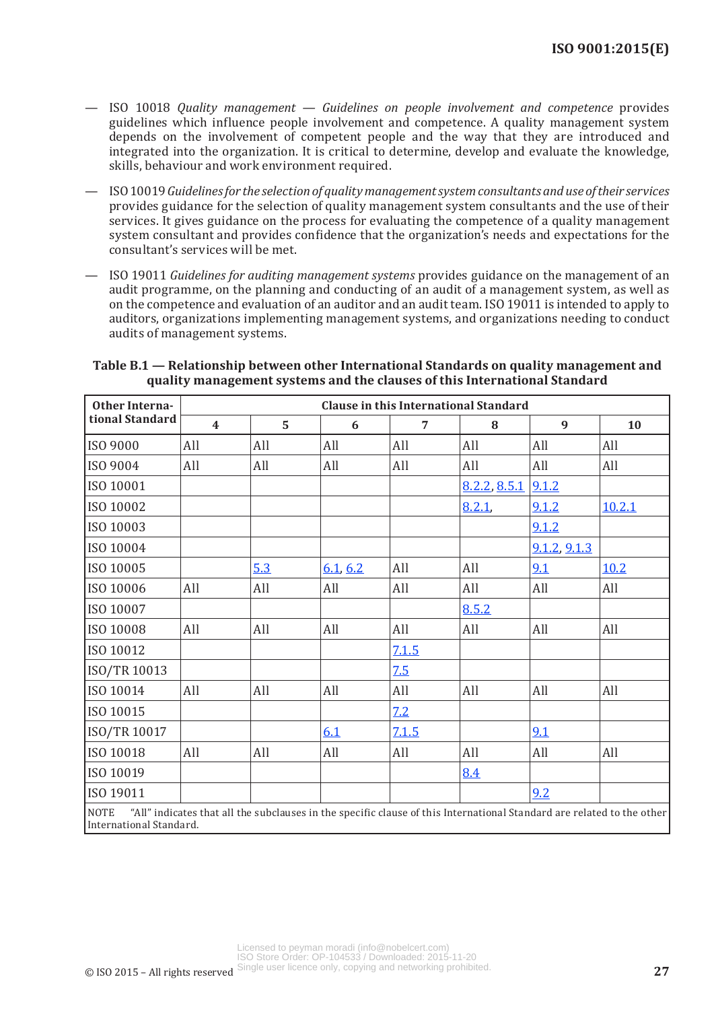- ISO 10018 *Quality management Guidelines on people involvement and competence* provides guidelines which influence people involvement and competence. A quality management system depends on the involvement of competent people and the way that they are introduced and integrated into the organization. It is critical to determine, develop and evaluate the knowledge, skills, behaviour and work environment required.
- ISO10019 *Guidelines for the selection of quality management system consultants and use of their services* provides guidance for the selection of quality management system consultants and the use of their services. It gives guidance on the process for evaluating the competence of a quality management system consultant and provides confidence that the organization's needs and expectations for the consultant's services will be met.
- ISO 19011 *Guidelines for auditing management systems* provides guidance on the management of an audit programme, on the planning and conducting of an audit of a management system, as well as on the competence and evaluation of an auditor and an audit team. ISO 19011 is intended to apply to auditors, organizations implementing management systems, and organizations needing to conduct audits of management systems.

| Other Interna-                                                                                                                                                   | <b>Clause in this International Standard</b> |     |          |       |              |              |        |  |
|------------------------------------------------------------------------------------------------------------------------------------------------------------------|----------------------------------------------|-----|----------|-------|--------------|--------------|--------|--|
| tional Standard                                                                                                                                                  | $\overline{\mathbf{4}}$                      | 5   | 6        | 7     | 8            | 9            | 10     |  |
| ISO 9000                                                                                                                                                         | All                                          | All | All      | All   | All          | All          | All    |  |
| ISO 9004                                                                                                                                                         | All                                          | All | All      | All   | All          | All          | All    |  |
| ISO 10001                                                                                                                                                        |                                              |     |          |       | 8.2.2, 8.5.1 | 9.1.2        |        |  |
| ISO 10002                                                                                                                                                        |                                              |     |          |       | 8.2.1,       | 9.1.2        | 10.2.1 |  |
| ISO 10003                                                                                                                                                        |                                              |     |          |       |              | 9.1.2        |        |  |
| ISO 10004                                                                                                                                                        |                                              |     |          |       |              | 9.1.2, 9.1.3 |        |  |
| ISO 10005                                                                                                                                                        |                                              | 5.3 | 6.1, 6.2 | All   | All          | 9.1          | 10.2   |  |
| ISO 10006                                                                                                                                                        | All                                          | All | All      | All   | All          | All          | All    |  |
| ISO 10007                                                                                                                                                        |                                              |     |          |       | 8.5.2        |              |        |  |
| ISO 10008                                                                                                                                                        | All                                          | All | All      | All   | All          | All          | All    |  |
| ISO 10012                                                                                                                                                        |                                              |     |          | 7.1.5 |              |              |        |  |
| ISO/TR 10013                                                                                                                                                     |                                              |     |          | 7.5   |              |              |        |  |
| ISO 10014                                                                                                                                                        | All                                          | All | All      | All   | All          | All          | All    |  |
| ISO 10015                                                                                                                                                        |                                              |     |          | 7.2   |              |              |        |  |
| ISO/TR 10017                                                                                                                                                     |                                              |     | 6.1      | 7.1.5 |              | 9.1          |        |  |
| ISO 10018                                                                                                                                                        | All                                          | All | All      | All   | All          | All          | All    |  |
| ISO 10019                                                                                                                                                        |                                              |     |          |       | 8.4          |              |        |  |
| ISO 19011                                                                                                                                                        |                                              |     |          |       |              | 9.2          |        |  |
| "All" indicates that all the subclauses in the specific clause of this International Standard are related to the other<br><b>NOTE</b><br>International Standard. |                                              |     |          |       |              |              |        |  |

#### <span id="page-36-0"></span>**Table B.1 — Relationship between other International Standards on quality management and quality management systems and the clauses of this International Standard**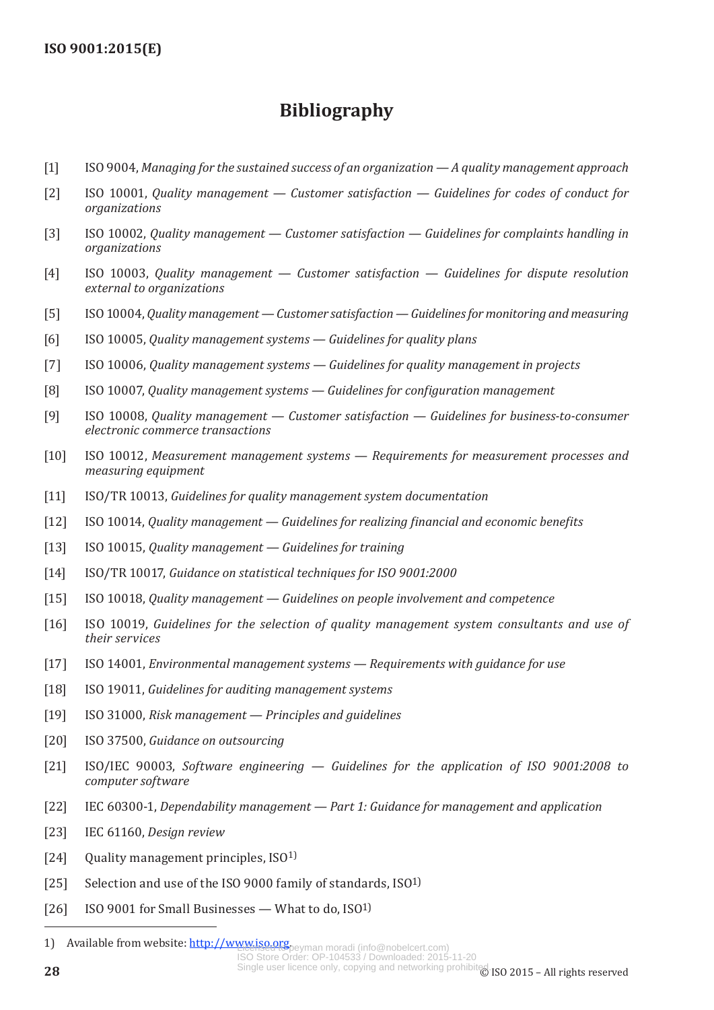## **Bibliography**

- <span id="page-37-0"></span>[1] ISO 9004, *Managing for the sustained success of an organization — A quality management approach*
- [2] ISO 10001, *Quality management Customer satisfaction Guidelines for codes of conduct for organizations*
- [3] ISO 10002, *Quality management Customer satisfaction Guidelines for complaints handling in organizations*
- [4] ISO 10003, *Quality management Customer satisfaction Guidelines for dispute resolution external to organizations*
- [5] ISO10004, *Quality management— Customer satisfaction— Guidelines for monitoring and measuring*
- [6] ISO 10005, *Quality management systems Guidelines for quality plans*
- [7] ISO 10006, *Quality management systems Guidelines for quality management in projects*
- [8] ISO 10007, *Quality management systems Guidelines for configuration management*
- [9] ISO 10008, *Quality management Customer satisfaction Guidelines for business-to-consumer electronic commerce transactions*
- [10] ISO 10012, *Measurement management systems Requirements for measurement processes and measuring equipment*
- [11] ISO/TR 10013, *Guidelines for quality management system documentation*
- [12] ISO 10014, *Quality management Guidelines for realizing financial and economic benefits*
- [13] ISO 10015, *Quality management Guidelines for training*
- [14] ISO/TR 10017, *Guidance on statistical techniques for ISO 9001:2000*
- [15] ISO 10018, *Quality management Guidelines on people involvement and competence*
- [16] ISO 10019, *Guidelines for the selection of quality management system consultants and use of their services*
- [17] ISO 14001, *Environmental management systems Requirements with guidance for use*
- [18] ISO 19011, *Guidelines for auditing management systems*
- [19] ISO 31000, *Risk management Principles and guidelines*
- [20] ISO 37500, *Guidance on outsourcing*
- [21] ISO/IEC 90003, *Software engineering Guidelines for the application of ISO 9001:2008 to computer software*
- [22] IEC 60300-1, *Dependability management Part 1: Guidance for management and application*
- [23] IEC 61160, *Design review*
- [24] Quality management principles, ISO<sup>1]</sup>
- [25] Selection and use of the ISO 9000 family of standards, ISO<sup>1</sup>)
- [26] ISO 9001 for Small Businesses What to do, ISO<sup>1</sup>)

<sup>1)</sup> Available from website: [http://www.iso.org.](http://www.iso.org)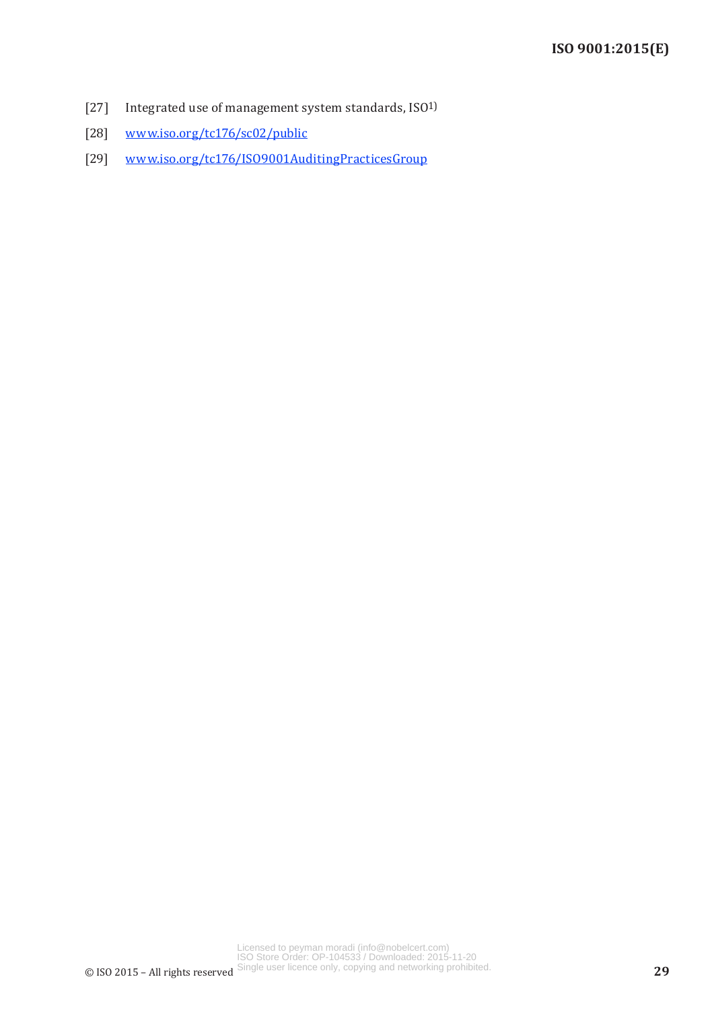- [27] Integrated use of management system standards, ISO<sup>1</sup>)
- [28] [www.iso.org/tc176/sc02/public](http://www.iso.org/tc176/sc02/public)
- [29] [www.iso.org/tc176/ISO9001AuditingPracticesGroup](http://isotc.iso.org/livelink/livelink?func=ll&objId=3541460&objAction=browse&sort=name)